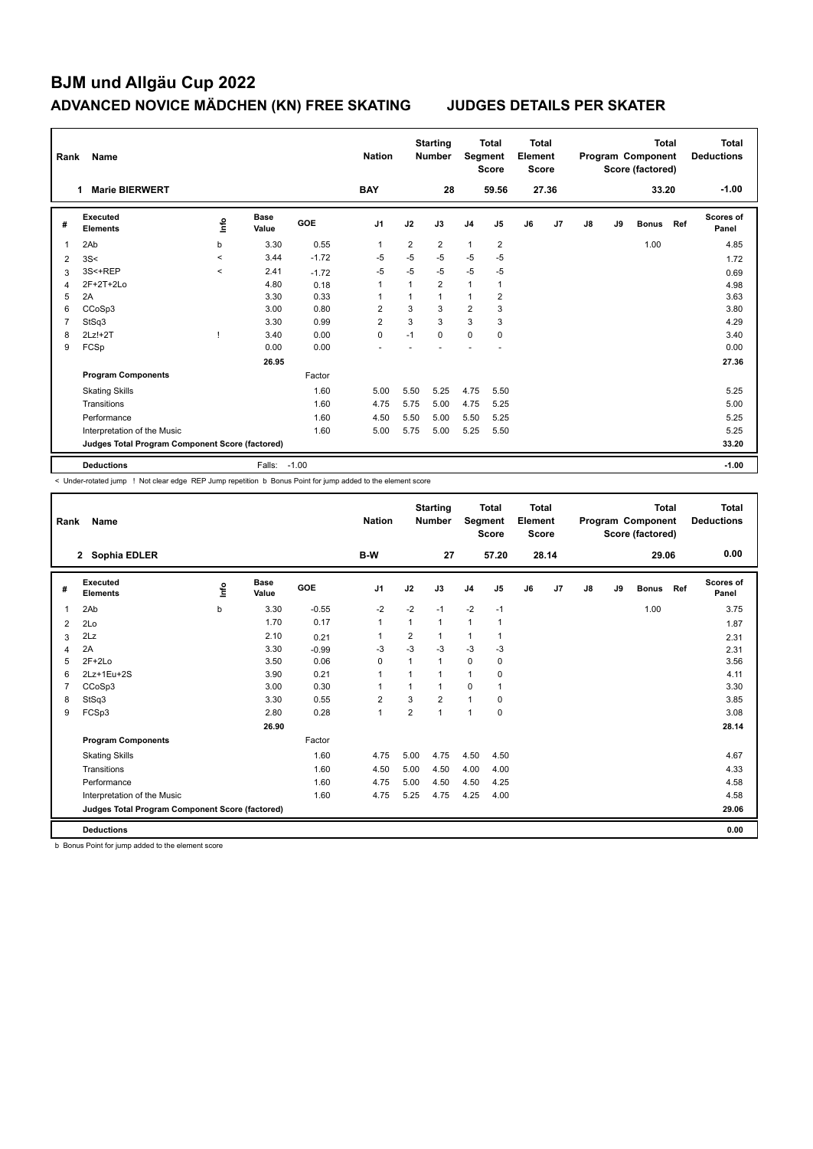| Rank           | Name                                            |                                  |                      |            | <b>Nation</b>  |                | <b>Starting</b><br><b>Number</b> | Segment        | <b>Total</b><br><b>Score</b> | <b>Total</b><br>Element<br><b>Score</b> |       |    |    | <b>Total</b><br>Program Component<br>Score (factored) |     | Total<br><b>Deductions</b> |
|----------------|-------------------------------------------------|----------------------------------|----------------------|------------|----------------|----------------|----------------------------------|----------------|------------------------------|-----------------------------------------|-------|----|----|-------------------------------------------------------|-----|----------------------------|
|                | <b>Marie BIERWERT</b>                           |                                  |                      |            | <b>BAY</b>     |                | 28                               |                | 59.56                        |                                         | 27.36 |    |    | 33.20                                                 |     | $-1.00$                    |
| #              | Executed<br><b>Elements</b>                     | $\mathop{\mathsf{Int}}\nolimits$ | <b>Base</b><br>Value | <b>GOE</b> | J <sub>1</sub> | J2             | J3                               | J <sub>4</sub> | J <sub>5</sub>               | J6                                      | J7    | J8 | J9 | <b>Bonus</b>                                          | Ref | <b>Scores of</b><br>Panel  |
| 1              | 2Ab                                             | b                                | 3.30                 | 0.55       | $\overline{1}$ | $\overline{2}$ | $\overline{2}$                   | $\mathbf{1}$   | $\overline{2}$               |                                         |       |    |    | 1.00                                                  |     | 4.85                       |
| 2              | 3S<                                             | $\prec$                          | 3.44                 | $-1.72$    | -5             | $-5$           | $-5$                             | $-5$           | $-5$                         |                                         |       |    |    |                                                       |     | 1.72                       |
| 3              | 3S<+REP                                         | $\prec$                          | 2.41                 | $-1.72$    | $-5$           | $-5$           | $-5$                             | $-5$           | $-5$                         |                                         |       |    |    |                                                       |     | 0.69                       |
| 4              | 2F+2T+2Lo                                       |                                  | 4.80                 | 0.18       | $\overline{1}$ |                | $\overline{2}$                   | $\mathbf{1}$   | 1                            |                                         |       |    |    |                                                       |     | 4.98                       |
| 5              | 2A                                              |                                  | 3.30                 | 0.33       | -1             |                | $\mathbf{1}$                     | 1              | $\overline{2}$               |                                         |       |    |    |                                                       |     | 3.63                       |
| 6              | CCoSp3                                          |                                  | 3.00                 | 0.80       | $\overline{2}$ | 3              | 3                                | $\overline{2}$ | 3                            |                                         |       |    |    |                                                       |     | 3.80                       |
| $\overline{7}$ | StSq3                                           |                                  | 3.30                 | 0.99       | 2              | 3              | 3                                | 3              | 3                            |                                         |       |    |    |                                                       |     | 4.29                       |
| 8              | $2Lz!+2T$                                       |                                  | 3.40                 | 0.00       | 0              | $-1$           | $\Omega$                         | $\mathbf 0$    | 0                            |                                         |       |    |    |                                                       |     | 3.40                       |
| 9              | FCSp                                            |                                  | 0.00                 | 0.00       |                |                |                                  |                |                              |                                         |       |    |    |                                                       |     | 0.00                       |
|                |                                                 |                                  | 26.95                |            |                |                |                                  |                |                              |                                         |       |    |    |                                                       |     | 27.36                      |
|                | <b>Program Components</b>                       |                                  |                      | Factor     |                |                |                                  |                |                              |                                         |       |    |    |                                                       |     |                            |
|                | <b>Skating Skills</b>                           |                                  |                      | 1.60       | 5.00           | 5.50           | 5.25                             | 4.75           | 5.50                         |                                         |       |    |    |                                                       |     | 5.25                       |
|                | Transitions                                     |                                  |                      | 1.60       | 4.75           | 5.75           | 5.00                             | 4.75           | 5.25                         |                                         |       |    |    |                                                       |     | 5.00                       |
|                | Performance                                     |                                  |                      | 1.60       | 4.50           | 5.50           | 5.00                             | 5.50           | 5.25                         |                                         |       |    |    |                                                       |     | 5.25                       |
|                | Interpretation of the Music                     |                                  |                      | 1.60       | 5.00           | 5.75           | 5.00                             | 5.25           | 5.50                         |                                         |       |    |    |                                                       |     | 5.25                       |
|                | Judges Total Program Component Score (factored) |                                  |                      |            |                |                |                                  |                |                              |                                         |       |    |    |                                                       |     | 33.20                      |
|                | <b>Deductions</b>                               |                                  | Falls:               | $-1.00$    |                |                |                                  |                |                              |                                         |       |    |    |                                                       |     | $-1.00$                    |

< Under-rotated jump ! Not clear edge REP Jump repetition b Bonus Point for jump added to the element score

| Rank | Name                                            |      |                      |         | <b>Nation</b>  |                | <b>Starting</b><br><b>Number</b> | Segment        | <b>Total</b><br><b>Score</b> | <b>Total</b><br>Element<br><b>Score</b> |       |    |    | <b>Total</b><br>Program Component<br>Score (factored) |     | Total<br><b>Deductions</b> |
|------|-------------------------------------------------|------|----------------------|---------|----------------|----------------|----------------------------------|----------------|------------------------------|-----------------------------------------|-------|----|----|-------------------------------------------------------|-----|----------------------------|
|      | 2 Sophia EDLER                                  |      |                      |         | <b>B-W</b>     |                | 27                               |                | 57.20                        |                                         | 28.14 |    |    | 29.06                                                 |     | 0.00                       |
| #    | Executed<br><b>Elements</b>                     | ١nf٥ | <b>Base</b><br>Value | GOE     | J <sub>1</sub> | J2             | J3                               | J <sub>4</sub> | J5                           | J6                                      | J7    | J8 | J9 | <b>Bonus</b>                                          | Ref | Scores of<br>Panel         |
| 1    | 2Ab                                             | b    | 3.30                 | $-0.55$ | $-2$           | $-2$           | $-1$                             | $-2$           | $-1$                         |                                         |       |    |    | 1.00                                                  |     | 3.75                       |
| 2    | 2Lo                                             |      | 1.70                 | 0.17    | 1              | $\mathbf{1}$   | $\mathbf{1}$                     | $\mathbf{1}$   | $\mathbf{1}$                 |                                         |       |    |    |                                                       |     | 1.87                       |
| 3    | 2Lz                                             |      | 2.10                 | 0.21    | 1              | 2              | 1                                | $\mathbf{1}$   | $\mathbf 1$                  |                                         |       |    |    |                                                       |     | 2.31                       |
| 4    | 2A                                              |      | 3.30                 | $-0.99$ | $-3$           | $-3$           | $-3$                             | $-3$           | $-3$                         |                                         |       |    |    |                                                       |     | 2.31                       |
| 5    | $2F+2Lo$                                        |      | 3.50                 | 0.06    | $\Omega$       | 1              | $\mathbf{1}$                     | $\Omega$       | $\Omega$                     |                                         |       |    |    |                                                       |     | 3.56                       |
| 6    | 2Lz+1Eu+2S                                      |      | 3.90                 | 0.21    | 1              | $\mathbf{1}$   | 1                                | $\mathbf{1}$   | 0                            |                                         |       |    |    |                                                       |     | 4.11                       |
| 7    | CCoSp3                                          |      | 3.00                 | 0.30    | 1              | 1              | 1                                | 0              | 1                            |                                         |       |    |    |                                                       |     | 3.30                       |
| 8    | StSq3                                           |      | 3.30                 | 0.55    | $\overline{2}$ | 3              | $\overline{2}$                   | 1              | 0                            |                                         |       |    |    |                                                       |     | 3.85                       |
| 9    | FCSp3                                           |      | 2.80                 | 0.28    | 1              | $\overline{2}$ | 1                                | $\mathbf{1}$   | 0                            |                                         |       |    |    |                                                       |     | 3.08                       |
|      |                                                 |      | 26.90                |         |                |                |                                  |                |                              |                                         |       |    |    |                                                       |     | 28.14                      |
|      | <b>Program Components</b>                       |      |                      | Factor  |                |                |                                  |                |                              |                                         |       |    |    |                                                       |     |                            |
|      | <b>Skating Skills</b>                           |      |                      | 1.60    | 4.75           | 5.00           | 4.75                             | 4.50           | 4.50                         |                                         |       |    |    |                                                       |     | 4.67                       |
|      | Transitions                                     |      |                      | 1.60    | 4.50           | 5.00           | 4.50                             | 4.00           | 4.00                         |                                         |       |    |    |                                                       |     | 4.33                       |
|      | Performance                                     |      |                      | 1.60    | 4.75           | 5.00           | 4.50                             | 4.50           | 4.25                         |                                         |       |    |    |                                                       |     | 4.58                       |
|      | Interpretation of the Music                     |      |                      | 1.60    | 4.75           | 5.25           | 4.75                             | 4.25           | 4.00                         |                                         |       |    |    |                                                       |     | 4.58                       |
|      | Judges Total Program Component Score (factored) |      |                      |         |                |                |                                  |                |                              |                                         |       |    |    |                                                       |     | 29.06                      |
|      | <b>Deductions</b>                               |      |                      |         |                |                |                                  |                |                              |                                         |       |    |    |                                                       |     | 0.00                       |

b Bonus Point for jump added to the element score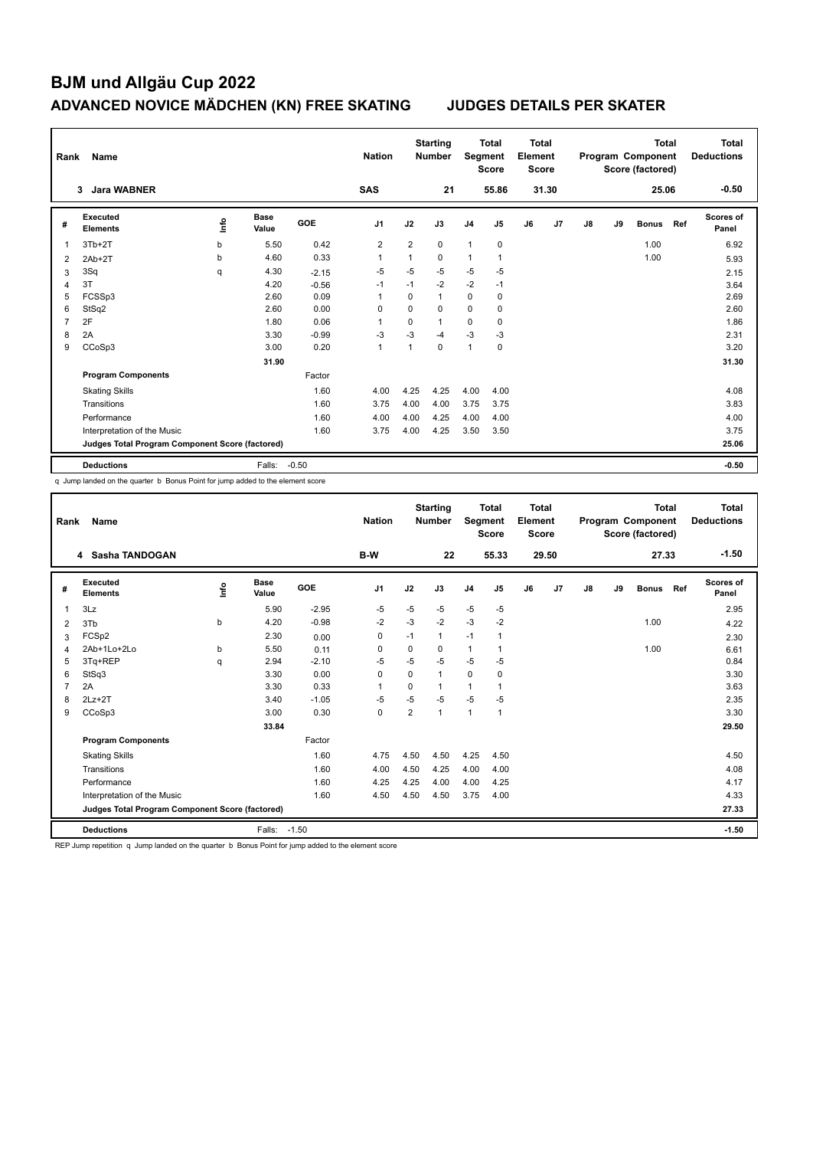| Rank           | Name                                            |                                  |                      |            | <b>Nation</b>  |          | <b>Starting</b><br><b>Number</b> | Segment        | <b>Total</b><br><b>Score</b> | Total<br>Element<br><b>Score</b> |       |    |    | <b>Total</b><br>Program Component<br>Score (factored) |     | Total<br><b>Deductions</b> |
|----------------|-------------------------------------------------|----------------------------------|----------------------|------------|----------------|----------|----------------------------------|----------------|------------------------------|----------------------------------|-------|----|----|-------------------------------------------------------|-----|----------------------------|
|                | <b>Jara WABNER</b><br>3                         |                                  |                      |            | <b>SAS</b>     |          | 21                               |                | 55.86                        |                                  | 31.30 |    |    | 25.06                                                 |     | $-0.50$                    |
| #              | Executed<br><b>Elements</b>                     | $\mathop{\mathsf{Int}}\nolimits$ | <b>Base</b><br>Value | <b>GOE</b> | J1             | J2       | J3                               | J <sub>4</sub> | J5                           | J6                               | J7    | J8 | J9 | <b>Bonus</b>                                          | Ref | Scores of<br>Panel         |
| 1              | $3Tb+2T$                                        | b                                | 5.50                 | 0.42       | $\overline{2}$ | 2        | $\mathbf 0$                      | $\mathbf{1}$   | 0                            |                                  |       |    |    | 1.00                                                  |     | 6.92                       |
| 2              | $2Ab+2T$                                        | b                                | 4.60                 | 0.33       | $\overline{1}$ | 1        | $\mathbf 0$                      | $\mathbf{1}$   | $\mathbf{1}$                 |                                  |       |    |    | 1.00                                                  |     | 5.93                       |
| 3              | 3Sq                                             | q                                | 4.30                 | $-2.15$    | $-5$           | $-5$     | $-5$                             | $-5$           | $-5$                         |                                  |       |    |    |                                                       |     | 2.15                       |
| 4              | 3T                                              |                                  | 4.20                 | $-0.56$    | $-1$           | $-1$     | $-2$                             | $-2$           | $-1$                         |                                  |       |    |    |                                                       |     | 3.64                       |
| 5              | FCSSp3                                          |                                  | 2.60                 | 0.09       | -1             | $\Omega$ | $\mathbf{1}$                     | $\Omega$       | $\mathbf 0$                  |                                  |       |    |    |                                                       |     | 2.69                       |
| 6              | StSq2                                           |                                  | 2.60                 | 0.00       | 0              | $\Omega$ | $\Omega$                         | $\mathbf 0$    | $\mathbf 0$                  |                                  |       |    |    |                                                       |     | 2.60                       |
| $\overline{7}$ | 2F                                              |                                  | 1.80                 | 0.06       | 1              | 0        | $\mathbf{1}$                     | 0              | 0                            |                                  |       |    |    |                                                       |     | 1.86                       |
| 8              | 2A                                              |                                  | 3.30                 | $-0.99$    | $-3$           | $-3$     | $-4$                             | $-3$           | $-3$                         |                                  |       |    |    |                                                       |     | 2.31                       |
| 9              | CCoSp3                                          |                                  | 3.00                 | 0.20       | $\overline{1}$ |          | $\Omega$                         | $\mathbf{1}$   | 0                            |                                  |       |    |    |                                                       |     | 3.20                       |
|                |                                                 |                                  | 31.90                |            |                |          |                                  |                |                              |                                  |       |    |    |                                                       |     | 31.30                      |
|                | <b>Program Components</b>                       |                                  |                      | Factor     |                |          |                                  |                |                              |                                  |       |    |    |                                                       |     |                            |
|                | <b>Skating Skills</b>                           |                                  |                      | 1.60       | 4.00           | 4.25     | 4.25                             | 4.00           | 4.00                         |                                  |       |    |    |                                                       |     | 4.08                       |
|                | Transitions                                     |                                  |                      | 1.60       | 3.75           | 4.00     | 4.00                             | 3.75           | 3.75                         |                                  |       |    |    |                                                       |     | 3.83                       |
|                | Performance                                     |                                  |                      | 1.60       | 4.00           | 4.00     | 4.25                             | 4.00           | 4.00                         |                                  |       |    |    |                                                       |     | 4.00                       |
|                | Interpretation of the Music                     |                                  |                      | 1.60       | 3.75           | 4.00     | 4.25                             | 3.50           | 3.50                         |                                  |       |    |    |                                                       |     | 3.75                       |
|                | Judges Total Program Component Score (factored) |                                  |                      |            |                |          |                                  |                |                              |                                  |       |    |    |                                                       |     | 25.06                      |
|                | <b>Deductions</b>                               |                                  | Falls:               | $-0.50$    |                |          |                                  |                |                              |                                  |       |    |    |                                                       |     | $-0.50$                    |

q Jump landed on the quarter b Bonus Point for jump added to the element score

| Rank         | Name                                            |      |                      |         | <b>Nation</b>  |                | <b>Starting</b><br><b>Number</b> | Segment        | <b>Total</b><br><b>Score</b> | Total<br>Element<br><b>Score</b> |       |    |    | <b>Total</b><br>Program Component<br>Score (factored) |     | Total<br><b>Deductions</b> |
|--------------|-------------------------------------------------|------|----------------------|---------|----------------|----------------|----------------------------------|----------------|------------------------------|----------------------------------|-------|----|----|-------------------------------------------------------|-----|----------------------------|
|              | 4 Sasha TANDOGAN                                |      |                      |         | <b>B-W</b>     |                | 22                               |                | 55.33                        |                                  | 29.50 |    |    | 27.33                                                 |     | $-1.50$                    |
| #            | Executed<br><b>Elements</b>                     | ١nf٥ | <b>Base</b><br>Value | GOE     | J <sub>1</sub> | J2             | J3                               | J <sub>4</sub> | J <sub>5</sub>               | J6                               | J7    | J8 | J9 | <b>Bonus</b>                                          | Ref | Scores of<br>Panel         |
| $\mathbf{1}$ | 3Lz                                             |      | 5.90                 | $-2.95$ | $-5$           | $-5$           | $-5$                             | $-5$           | $-5$                         |                                  |       |    |    |                                                       |     | 2.95                       |
| 2            | 3T <sub>b</sub>                                 | b    | 4.20                 | $-0.98$ | $-2$           | $-3$           | $-2$                             | $-3$           | $-2$                         |                                  |       |    |    | 1.00                                                  |     | 4.22                       |
| 3            | FCSp2                                           |      | 2.30                 | 0.00    | $\Omega$       | $-1$           | $\mathbf{1}$                     | $-1$           | 1                            |                                  |       |    |    |                                                       |     | 2.30                       |
| 4            | 2Ab+1Lo+2Lo                                     | b    | 5.50                 | 0.11    | $\Omega$       | 0              | 0                                | $\mathbf{1}$   |                              |                                  |       |    |    | 1.00                                                  |     | 6.61                       |
| 5            | 3Tq+REP                                         | q    | 2.94                 | $-2.10$ | $-5$           | $-5$           | $-5$                             | $-5$           | $-5$                         |                                  |       |    |    |                                                       |     | 0.84                       |
| 6            | StSq3                                           |      | 3.30                 | 0.00    | $\Omega$       | $\Omega$       | $\overline{1}$                   | $\mathbf 0$    | 0                            |                                  |       |    |    |                                                       |     | 3.30                       |
| 7            | 2A                                              |      | 3.30                 | 0.33    | 1              | 0              |                                  | 1              |                              |                                  |       |    |    |                                                       |     | 3.63                       |
| 8            | $2Lz+2T$                                        |      | 3.40                 | $-1.05$ | $-5$           | $-5$           | $-5$                             | $-5$           | $-5$                         |                                  |       |    |    |                                                       |     | 2.35                       |
| 9            | CCoSp3                                          |      | 3.00                 | 0.30    | $\mathbf 0$    | $\overline{2}$ | 1                                | $\mathbf{1}$   | $\overline{1}$               |                                  |       |    |    |                                                       |     | 3.30                       |
|              |                                                 |      | 33.84                |         |                |                |                                  |                |                              |                                  |       |    |    |                                                       |     | 29.50                      |
|              | <b>Program Components</b>                       |      |                      | Factor  |                |                |                                  |                |                              |                                  |       |    |    |                                                       |     |                            |
|              | <b>Skating Skills</b>                           |      |                      | 1.60    | 4.75           | 4.50           | 4.50                             | 4.25           | 4.50                         |                                  |       |    |    |                                                       |     | 4.50                       |
|              | Transitions                                     |      |                      | 1.60    | 4.00           | 4.50           | 4.25                             | 4.00           | 4.00                         |                                  |       |    |    |                                                       |     | 4.08                       |
|              | Performance                                     |      |                      | 1.60    | 4.25           | 4.25           | 4.00                             | 4.00           | 4.25                         |                                  |       |    |    |                                                       |     | 4.17                       |
|              | Interpretation of the Music                     |      |                      | 1.60    | 4.50           | 4.50           | 4.50                             | 3.75           | 4.00                         |                                  |       |    |    |                                                       |     | 4.33                       |
|              | Judges Total Program Component Score (factored) |      |                      |         |                |                |                                  |                |                              |                                  |       |    |    |                                                       |     | 27.33                      |
|              | <b>Deductions</b>                               |      | Falls: -1.50         |         |                |                |                                  |                |                              |                                  |       |    |    |                                                       |     | $-1.50$                    |

REP Jump repetition q Jump landed on the quarter b Bonus Point for jump added to the element score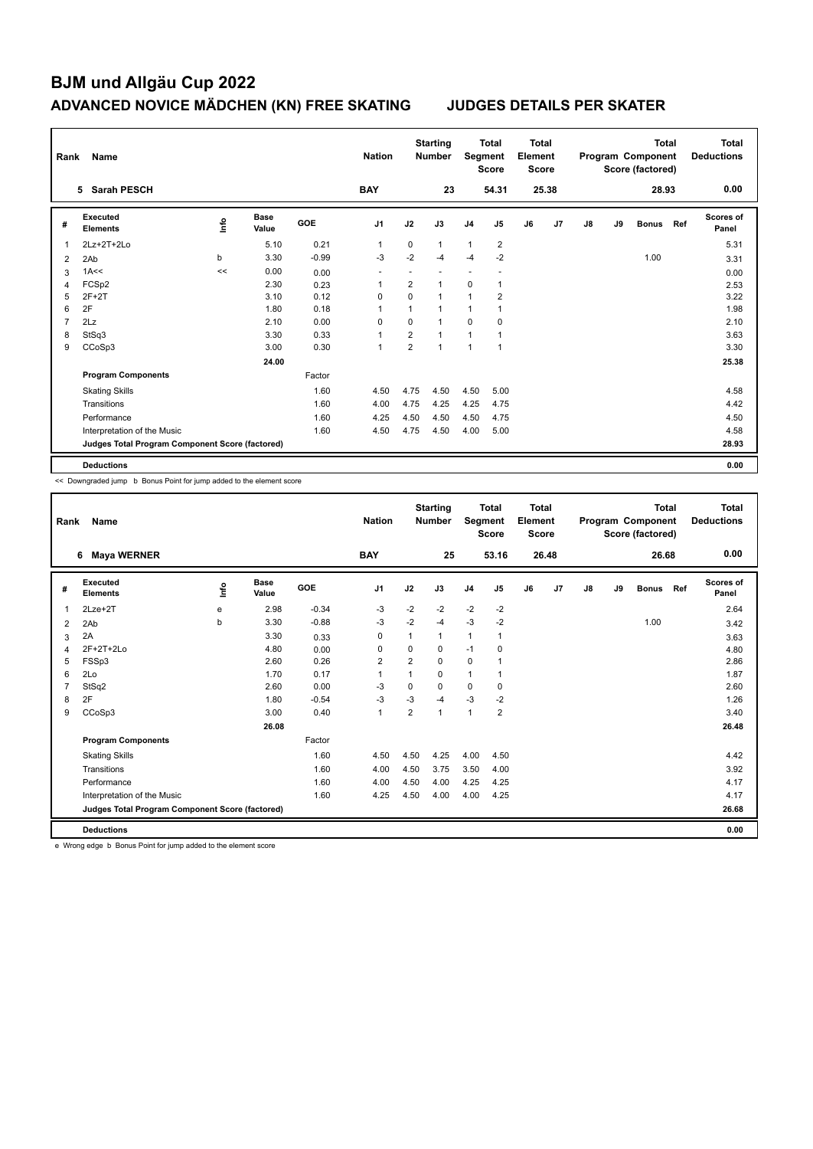| Rank           | Name                                            |                |                      |            | <b>Nation</b>  |                | <b>Starting</b><br><b>Number</b> | Segment        | <b>Total</b><br><b>Score</b> | <b>Total</b><br>Element<br><b>Score</b> |       |    |    | <b>Total</b><br>Program Component<br>Score (factored) |     | Total<br><b>Deductions</b> |
|----------------|-------------------------------------------------|----------------|----------------------|------------|----------------|----------------|----------------------------------|----------------|------------------------------|-----------------------------------------|-------|----|----|-------------------------------------------------------|-----|----------------------------|
|                | 5 Sarah PESCH                                   |                |                      |            | <b>BAY</b>     |                | 23                               |                | 54.31                        |                                         | 25.38 |    |    | 28.93                                                 |     | 0.00                       |
| #              | Executed<br><b>Elements</b>                     | $\frac{6}{10}$ | <b>Base</b><br>Value | <b>GOE</b> | J <sub>1</sub> | J2             | J3                               | J <sub>4</sub> | J <sub>5</sub>               | J6                                      | J7    | J8 | J9 | <b>Bonus</b>                                          | Ref | <b>Scores of</b><br>Panel  |
| 1              | 2Lz+2T+2Lo                                      |                | 5.10                 | 0.21       | $\overline{1}$ | 0              | 1                                | 1              | $\overline{2}$               |                                         |       |    |    |                                                       |     | 5.31                       |
| 2              | 2Ab                                             | b              | 3.30                 | $-0.99$    | $-3$           | $-2$           | $-4$                             | $-4$           | $-2$                         |                                         |       |    |    | 1.00                                                  |     | 3.31                       |
| 3              | 1A<<                                            | <<             | 0.00                 | 0.00       | ÷              |                |                                  |                |                              |                                         |       |    |    |                                                       |     | 0.00                       |
| $\overline{4}$ | FCSp2                                           |                | 2.30                 | 0.23       | 1              | 2              | $\mathbf{1}$                     | $\mathbf 0$    | 1                            |                                         |       |    |    |                                                       |     | 2.53                       |
| 5              | $2F+2T$                                         |                | 3.10                 | 0.12       | 0              | $\Omega$       | $\mathbf{1}$                     | $\mathbf{1}$   | $\overline{2}$               |                                         |       |    |    |                                                       |     | 3.22                       |
| 6              | 2F                                              |                | 1.80                 | 0.18       | 1              |                | $\mathbf{1}$                     | 1              |                              |                                         |       |    |    |                                                       |     | 1.98                       |
| $\overline{7}$ | 2Lz                                             |                | 2.10                 | 0.00       | 0              | $\Omega$       | $\mathbf{1}$                     | 0              | 0                            |                                         |       |    |    |                                                       |     | 2.10                       |
| 8              | StSq3                                           |                | 3.30                 | 0.33       | $\overline{1}$ | 2              | $\mathbf{1}$                     | 1              | 1                            |                                         |       |    |    |                                                       |     | 3.63                       |
| 9              | CCoSp3                                          |                | 3.00                 | 0.30       | $\overline{1}$ | $\overline{2}$ | $\mathbf{1}$                     | $\mathbf{1}$   | $\mathbf{1}$                 |                                         |       |    |    |                                                       |     | 3.30                       |
|                |                                                 |                | 24.00                |            |                |                |                                  |                |                              |                                         |       |    |    |                                                       |     | 25.38                      |
|                | <b>Program Components</b>                       |                |                      | Factor     |                |                |                                  |                |                              |                                         |       |    |    |                                                       |     |                            |
|                | <b>Skating Skills</b>                           |                |                      | 1.60       | 4.50           | 4.75           | 4.50                             | 4.50           | 5.00                         |                                         |       |    |    |                                                       |     | 4.58                       |
|                | Transitions                                     |                |                      | 1.60       | 4.00           | 4.75           | 4.25                             | 4.25           | 4.75                         |                                         |       |    |    |                                                       |     | 4.42                       |
|                | Performance                                     |                |                      | 1.60       | 4.25           | 4.50           | 4.50                             | 4.50           | 4.75                         |                                         |       |    |    |                                                       |     | 4.50                       |
|                | Interpretation of the Music                     |                |                      | 1.60       | 4.50           | 4.75           | 4.50                             | 4.00           | 5.00                         |                                         |       |    |    |                                                       |     | 4.58                       |
|                | Judges Total Program Component Score (factored) |                |                      |            |                |                |                                  |                |                              |                                         |       |    |    |                                                       |     | 28.93                      |
|                | <b>Deductions</b>                               |                |                      |            |                |                |                                  |                |                              |                                         |       |    |    |                                                       |     | 0.00                       |

<< Downgraded jump b Bonus Point for jump added to the element score

| Rank | Name                                            |      |                      |         | <b>Nation</b>  |                | <b>Starting</b><br><b>Number</b> | Segment        | <b>Total</b><br><b>Score</b> | Total<br>Element<br><b>Score</b> |       |    |    | <b>Total</b><br>Program Component<br>Score (factored) |     | <b>Total</b><br><b>Deductions</b> |
|------|-------------------------------------------------|------|----------------------|---------|----------------|----------------|----------------------------------|----------------|------------------------------|----------------------------------|-------|----|----|-------------------------------------------------------|-----|-----------------------------------|
|      | <b>Maya WERNER</b><br>6                         |      |                      |         | <b>BAY</b>     |                | 25                               |                | 53.16                        |                                  | 26.48 |    |    | 26.68                                                 |     | 0.00                              |
| #    | Executed<br><b>Elements</b>                     | ١nf٥ | <b>Base</b><br>Value | GOE     | J <sub>1</sub> | J2             | J3                               | J <sub>4</sub> | J <sub>5</sub>               | J6                               | J7    | J8 | J9 | <b>Bonus</b>                                          | Ref | <b>Scores of</b><br>Panel         |
| 1    | $2$ Lze $+2$ T                                  | e    | 2.98                 | $-0.34$ | $-3$           | $-2$           | $-2$                             | $-2$           | $-2$                         |                                  |       |    |    |                                                       |     | 2.64                              |
| 2    | 2Ab                                             | b    | 3.30                 | $-0.88$ | $-3$           | $-2$           | $-4$                             | $-3$           | $-2$                         |                                  |       |    |    | 1.00                                                  |     | 3.42                              |
| 3    | 2A                                              |      | 3.30                 | 0.33    | 0              | 1              | 1                                | $\mathbf{1}$   | $\mathbf 1$                  |                                  |       |    |    |                                                       |     | 3.63                              |
| 4    | 2F+2T+2Lo                                       |      | 4.80                 | 0.00    | $\Omega$       | $\Omega$       | 0                                | $-1$           | 0                            |                                  |       |    |    |                                                       |     | 4.80                              |
| 5    | FSSp3                                           |      | 2.60                 | 0.26    | $\overline{2}$ | $\overline{2}$ | $\Omega$                         | $\mathbf 0$    | 1                            |                                  |       |    |    |                                                       |     | 2.86                              |
| 6    | 2Lo                                             |      | 1.70                 | 0.17    | $\mathbf{1}$   | $\overline{1}$ | 0                                | $\mathbf{1}$   | 1                            |                                  |       |    |    |                                                       |     | 1.87                              |
| 7    | StSq2                                           |      | 2.60                 | 0.00    | -3             | 0              | 0                                | $\mathbf 0$    | 0                            |                                  |       |    |    |                                                       |     | 2.60                              |
| 8    | 2F                                              |      | 1.80                 | $-0.54$ | $-3$           | $-3$           | $-4$                             | $-3$           | $-2$                         |                                  |       |    |    |                                                       |     | 1.26                              |
| 9    | CCoSp3                                          |      | 3.00                 | 0.40    | $\overline{1}$ | $\overline{2}$ | 1                                | $\mathbf{1}$   | $\overline{2}$               |                                  |       |    |    |                                                       |     | 3.40                              |
|      |                                                 |      | 26.08                |         |                |                |                                  |                |                              |                                  |       |    |    |                                                       |     | 26.48                             |
|      | <b>Program Components</b>                       |      |                      | Factor  |                |                |                                  |                |                              |                                  |       |    |    |                                                       |     |                                   |
|      | <b>Skating Skills</b>                           |      |                      | 1.60    | 4.50           | 4.50           | 4.25                             | 4.00           | 4.50                         |                                  |       |    |    |                                                       |     | 4.42                              |
|      | Transitions                                     |      |                      | 1.60    | 4.00           | 4.50           | 3.75                             | 3.50           | 4.00                         |                                  |       |    |    |                                                       |     | 3.92                              |
|      | Performance                                     |      |                      | 1.60    | 4.00           | 4.50           | 4.00                             | 4.25           | 4.25                         |                                  |       |    |    |                                                       |     | 4.17                              |
|      | Interpretation of the Music                     |      |                      | 1.60    | 4.25           | 4.50           | 4.00                             | 4.00           | 4.25                         |                                  |       |    |    |                                                       |     | 4.17                              |
|      | Judges Total Program Component Score (factored) |      |                      |         |                |                |                                  |                |                              |                                  |       |    |    |                                                       |     | 26.68                             |
|      | <b>Deductions</b>                               |      |                      |         |                |                |                                  |                |                              |                                  |       |    |    |                                                       |     | 0.00                              |

e Wrong edge b Bonus Point for jump added to the element score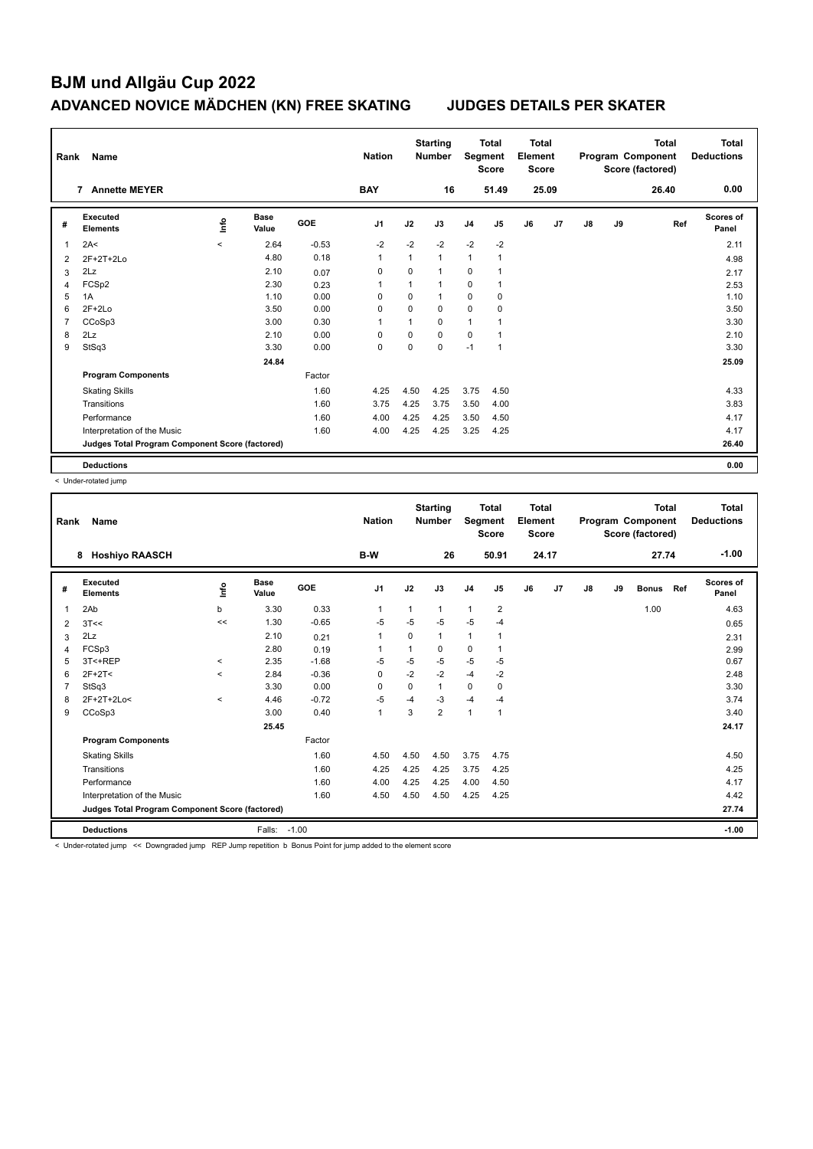| Rank | Name                                            |         |                      |            | <b>Nation</b>  |              | <b>Starting</b><br><b>Number</b> | Segment        | <b>Total</b><br><b>Score</b> | Total<br>Element<br><b>Score</b> |       |    |    | Total<br>Program Component<br>Score (factored) | Total<br><b>Deductions</b> |
|------|-------------------------------------------------|---------|----------------------|------------|----------------|--------------|----------------------------------|----------------|------------------------------|----------------------------------|-------|----|----|------------------------------------------------|----------------------------|
|      | <b>Annette MEYER</b><br>7                       |         |                      |            | <b>BAY</b>     |              | 16                               |                | 51.49                        |                                  | 25.09 |    |    | 26.40                                          | 0.00                       |
| #    | Executed<br><b>Elements</b>                     | ۴ů      | <b>Base</b><br>Value | <b>GOE</b> | J <sub>1</sub> | J2           | J3                               | J <sub>4</sub> | J <sub>5</sub>               | J6                               | J7    | J8 | J9 | Ref                                            | <b>Scores of</b><br>Panel  |
| 1    | 2A<                                             | $\prec$ | 2.64                 | $-0.53$    | $-2$           | $-2$         | $-2$                             | $-2$           | $-2$                         |                                  |       |    |    |                                                | 2.11                       |
| 2    | 2F+2T+2Lo                                       |         | 4.80                 | 0.18       | $\mathbf{1}$   | $\mathbf{1}$ | $\mathbf{1}$                     | $\mathbf{1}$   | $\mathbf{1}$                 |                                  |       |    |    |                                                | 4.98                       |
| 3    | 2Lz                                             |         | 2.10                 | 0.07       | 0              | $\mathbf 0$  | 1                                | 0              |                              |                                  |       |    |    |                                                | 2.17                       |
| 4    | FCSp2                                           |         | 2.30                 | 0.23       | $\overline{1}$ | $\mathbf{1}$ | $\overline{1}$                   | 0              | $\mathbf{1}$                 |                                  |       |    |    |                                                | 2.53                       |
| 5    | 1A                                              |         | 1.10                 | 0.00       | $\Omega$       | $\Omega$     | $\mathbf{1}$                     | 0              | $\mathbf 0$                  |                                  |       |    |    |                                                | 1.10                       |
| 6    | $2F+2Lo$                                        |         | 3.50                 | 0.00       | $\Omega$       | $\Omega$     | $\Omega$                         | $\mathbf 0$    | $\mathbf 0$                  |                                  |       |    |    |                                                | 3.50                       |
| 7    | CCoSp3                                          |         | 3.00                 | 0.30       | 1              | 1            | $\Omega$                         | 1              |                              |                                  |       |    |    |                                                | 3.30                       |
| 8    | 2Lz                                             |         | 2.10                 | 0.00       | 0              | 0            | $\mathbf 0$                      | 0              | $\mathbf{1}$                 |                                  |       |    |    |                                                | 2.10                       |
| 9    | StSq3                                           |         | 3.30                 | 0.00       | 0              | $\mathbf 0$  | $\mathbf 0$                      | $-1$           | $\mathbf{1}$                 |                                  |       |    |    |                                                | 3.30                       |
|      |                                                 |         | 24.84                |            |                |              |                                  |                |                              |                                  |       |    |    |                                                | 25.09                      |
|      | <b>Program Components</b>                       |         |                      | Factor     |                |              |                                  |                |                              |                                  |       |    |    |                                                |                            |
|      | <b>Skating Skills</b>                           |         |                      | 1.60       | 4.25           | 4.50         | 4.25                             | 3.75           | 4.50                         |                                  |       |    |    |                                                | 4.33                       |
|      | Transitions                                     |         |                      | 1.60       | 3.75           | 4.25         | 3.75                             | 3.50           | 4.00                         |                                  |       |    |    |                                                | 3.83                       |
|      | Performance                                     |         |                      | 1.60       | 4.00           | 4.25         | 4.25                             | 3.50           | 4.50                         |                                  |       |    |    |                                                | 4.17                       |
|      | Interpretation of the Music                     |         |                      | 1.60       | 4.00           | 4.25         | 4.25                             | 3.25           | 4.25                         |                                  |       |    |    |                                                | 4.17                       |
|      | Judges Total Program Component Score (factored) |         |                      |            |                |              |                                  |                |                              |                                  |       |    |    |                                                | 26.40                      |
|      | <b>Deductions</b>                               |         |                      |            |                |              |                                  |                |                              |                                  |       |    |    |                                                | 0.00                       |

< Under-rotated jump

| Rank | Name                                            |              |               |         | <b>Nation</b>  |          | <b>Starting</b><br><b>Number</b> | Segment        | <b>Total</b><br><b>Score</b> | <b>Total</b><br>Element<br><b>Score</b> |       |    |    | <b>Total</b><br>Program Component<br>Score (factored) |     | <b>Total</b><br><b>Deductions</b> |
|------|-------------------------------------------------|--------------|---------------|---------|----------------|----------|----------------------------------|----------------|------------------------------|-----------------------------------------|-------|----|----|-------------------------------------------------------|-----|-----------------------------------|
|      | <b>Hoshiyo RAASCH</b><br>8                      |              |               |         | B-W            |          | 26                               |                | 50.91                        |                                         | 24.17 |    |    | 27.74                                                 |     | $-1.00$                           |
| #    | Executed<br><b>Elements</b>                     | Info         | Base<br>Value | GOE     | J <sub>1</sub> | J2       | J3                               | J <sub>4</sub> | J <sub>5</sub>               | J6                                      | J7    | J8 | J9 | <b>Bonus</b>                                          | Ref | Scores of<br>Panel                |
| 1    | 2Ab                                             | b            | 3.30          | 0.33    | $\mathbf 1$    | 1        | 1                                | $\mathbf{1}$   | $\overline{2}$               |                                         |       |    |    | 1.00                                                  |     | 4.63                              |
| 2    | 3T<<                                            | <<           | 1.30          | $-0.65$ | $-5$           | $-5$     | $-5$                             | $-5$           | $-4$                         |                                         |       |    |    |                                                       |     | 0.65                              |
| 3    | 2Lz                                             |              | 2.10          | 0.21    | $\mathbf{1}$   | $\Omega$ | 1                                | $\mathbf{1}$   |                              |                                         |       |    |    |                                                       |     | 2.31                              |
| 4    | FCSp3                                           |              | 2.80          | 0.19    |                | 1        | 0                                | $\mathbf 0$    |                              |                                         |       |    |    |                                                       |     | 2.99                              |
| 5    | 3T<+REP                                         | $\checkmark$ | 2.35          | $-1.68$ | -5             | -5       | $-5$                             | $-5$           | -5                           |                                         |       |    |    |                                                       |     | 0.67                              |
| 6    | $2F+2T<$                                        | $\prec$      | 2.84          | $-0.36$ | 0              | $-2$     | $-2$                             | $-4$           | $-2$                         |                                         |       |    |    |                                                       |     | 2.48                              |
|      | StSq3                                           |              | 3.30          | 0.00    | $\Omega$       | 0        | 1                                | 0              | 0                            |                                         |       |    |    |                                                       |     | 3.30                              |
| 8    | 2F+2T+2Lo<                                      | $\prec$      | 4.46          | $-0.72$ | $-5$           | $-4$     | $-3$                             | $-4$           | $-4$                         |                                         |       |    |    |                                                       |     | 3.74                              |
| 9    | CCoSp3                                          |              | 3.00          | 0.40    | $\mathbf{1}$   | 3        | $\overline{2}$                   | $\mathbf{1}$   | $\mathbf{1}$                 |                                         |       |    |    |                                                       |     | 3.40                              |
|      |                                                 |              | 25.45         |         |                |          |                                  |                |                              |                                         |       |    |    |                                                       |     | 24.17                             |
|      | <b>Program Components</b>                       |              |               | Factor  |                |          |                                  |                |                              |                                         |       |    |    |                                                       |     |                                   |
|      | <b>Skating Skills</b>                           |              |               | 1.60    | 4.50           | 4.50     | 4.50                             | 3.75           | 4.75                         |                                         |       |    |    |                                                       |     | 4.50                              |
|      | Transitions                                     |              |               | 1.60    | 4.25           | 4.25     | 4.25                             | 3.75           | 4.25                         |                                         |       |    |    |                                                       |     | 4.25                              |
|      | Performance                                     |              |               | 1.60    | 4.00           | 4.25     | 4.25                             | 4.00           | 4.50                         |                                         |       |    |    |                                                       |     | 4.17                              |
|      | Interpretation of the Music                     |              |               | 1.60    | 4.50           | 4.50     | 4.50                             | 4.25           | 4.25                         |                                         |       |    |    |                                                       |     | 4.42                              |
|      | Judges Total Program Component Score (factored) |              |               |         |                |          |                                  |                |                              |                                         |       |    |    |                                                       |     | 27.74                             |
|      | <b>Deductions</b>                               |              | Falls:        | $-1.00$ |                |          |                                  |                |                              |                                         |       |    |    |                                                       |     | $-1.00$                           |

< Under-rotated jump << Downgraded jump REP Jump repetition b Bonus Point for jump added to the element score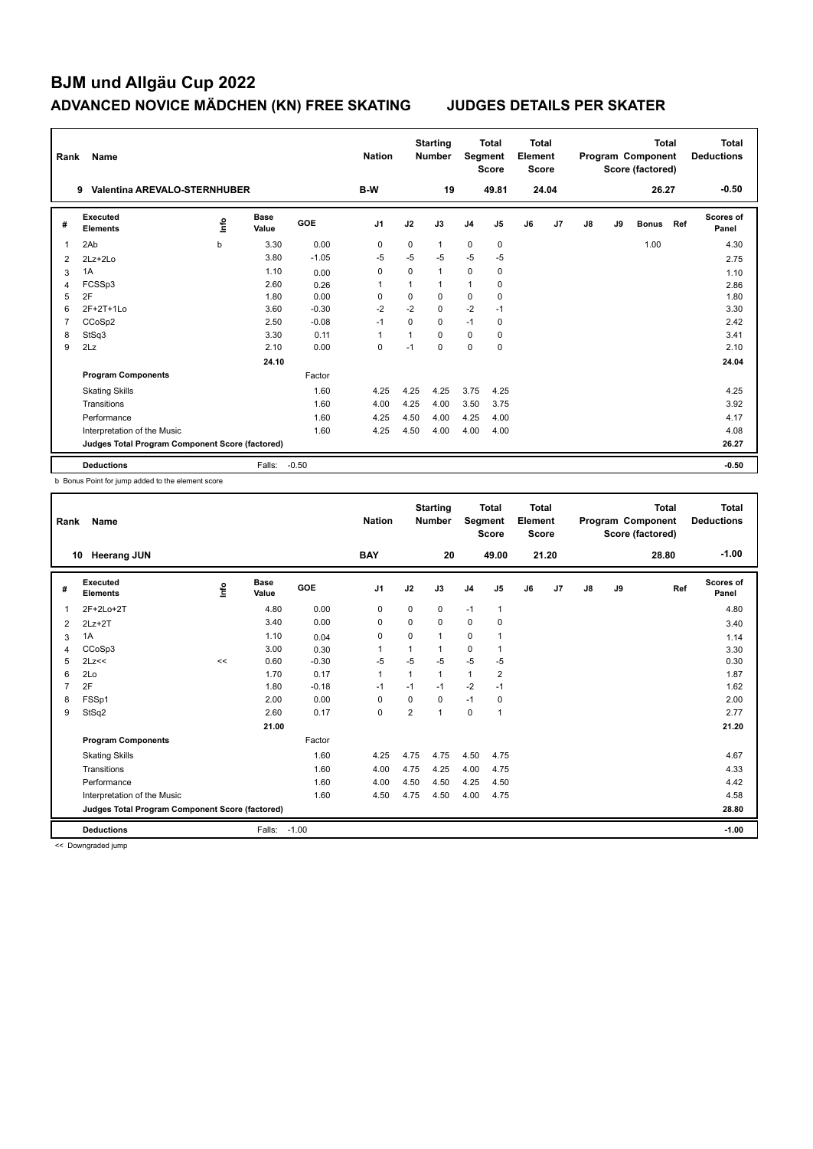| Rank           | Name                                            |      |                      |            | <b>Nation</b>  |          | <b>Starting</b><br><b>Number</b> | Segment        | <b>Total</b><br><b>Score</b> | Total<br>Element<br><b>Score</b> |       |    |    | <b>Total</b><br>Program Component<br>Score (factored) |     | <b>Total</b><br><b>Deductions</b> |
|----------------|-------------------------------------------------|------|----------------------|------------|----------------|----------|----------------------------------|----------------|------------------------------|----------------------------------|-------|----|----|-------------------------------------------------------|-----|-----------------------------------|
|                | <b>Valentina AREVALO-STERNHUBER</b><br>9        |      |                      |            | <b>B-W</b>     |          | 19                               |                | 49.81                        |                                  | 24.04 |    |    | 26.27                                                 |     | $-0.50$                           |
| #              | Executed<br><b>Elements</b>                     | Info | <b>Base</b><br>Value | <b>GOE</b> | J <sub>1</sub> | J2       | J3                               | J <sub>4</sub> | J <sub>5</sub>               | J6                               | J7    | J8 | J9 | <b>Bonus</b>                                          | Ref | <b>Scores of</b><br>Panel         |
| 1              | 2Ab                                             | b    | 3.30                 | 0.00       | 0              | 0        | 1                                | $\mathbf 0$    | 0                            |                                  |       |    |    | 1.00                                                  |     | 4.30                              |
| 2              | 2Lz+2Lo                                         |      | 3.80                 | $-1.05$    | $-5$           | $-5$     | $-5$                             | $-5$           | $-5$                         |                                  |       |    |    |                                                       |     | 2.75                              |
| 3              | 1A                                              |      | 1.10                 | 0.00       | 0              | $\Omega$ | $\mathbf{1}$                     | $\Omega$       | 0                            |                                  |       |    |    |                                                       |     | 1.10                              |
| 4              | FCSSp3                                          |      | 2.60                 | 0.26       | 1              |          | $\mathbf{1}$                     | $\mathbf{1}$   | 0                            |                                  |       |    |    |                                                       |     | 2.86                              |
| 5              | 2F                                              |      | 1.80                 | 0.00       | $\Omega$       | $\Omega$ | $\Omega$                         | $\mathbf 0$    | $\mathbf 0$                  |                                  |       |    |    |                                                       |     | 1.80                              |
| 6              | 2F+2T+1Lo                                       |      | 3.60                 | $-0.30$    | $-2$           | $-2$     | $\mathbf 0$                      | $-2$           | $-1$                         |                                  |       |    |    |                                                       |     | 3.30                              |
| $\overline{7}$ | CCoSp2                                          |      | 2.50                 | $-0.08$    | $-1$           | 0        | 0                                | $-1$           | 0                            |                                  |       |    |    |                                                       |     | 2.42                              |
| 8              | StSq3                                           |      | 3.30                 | 0.11       | 1              |          | $\Omega$                         | $\Omega$       | 0                            |                                  |       |    |    |                                                       |     | 3.41                              |
| 9              | 2Lz                                             |      | 2.10                 | 0.00       | 0              | $-1$     | $\Omega$                         | $\Omega$       | $\Omega$                     |                                  |       |    |    |                                                       |     | 2.10                              |
|                |                                                 |      | 24.10                |            |                |          |                                  |                |                              |                                  |       |    |    |                                                       |     | 24.04                             |
|                | <b>Program Components</b>                       |      |                      | Factor     |                |          |                                  |                |                              |                                  |       |    |    |                                                       |     |                                   |
|                | <b>Skating Skills</b>                           |      |                      | 1.60       | 4.25           | 4.25     | 4.25                             | 3.75           | 4.25                         |                                  |       |    |    |                                                       |     | 4.25                              |
|                | Transitions                                     |      |                      | 1.60       | 4.00           | 4.25     | 4.00                             | 3.50           | 3.75                         |                                  |       |    |    |                                                       |     | 3.92                              |
|                | Performance                                     |      |                      | 1.60       | 4.25           | 4.50     | 4.00                             | 4.25           | 4.00                         |                                  |       |    |    |                                                       |     | 4.17                              |
|                | Interpretation of the Music                     |      |                      | 1.60       | 4.25           | 4.50     | 4.00                             | 4.00           | 4.00                         |                                  |       |    |    |                                                       |     | 4.08                              |
|                | Judges Total Program Component Score (factored) |      |                      |            |                |          |                                  |                |                              |                                  |       |    |    |                                                       |     | 26.27                             |
|                | <b>Deductions</b>                               |      | Falls:               | $-0.50$    |                |          |                                  |                |                              |                                  |       |    |    |                                                       |     | $-0.50$                           |

b Bonus Point for jump added to the element score

| Rank           | Name                                            |      |                      |            | <b>Nation</b>  |                | <b>Starting</b><br><b>Number</b> | Segment        | <b>Total</b><br><b>Score</b> | <b>Total</b><br>Element<br><b>Score</b> |                |               |    | Total<br>Program Component<br>Score (factored) | <b>Total</b><br><b>Deductions</b> |
|----------------|-------------------------------------------------|------|----------------------|------------|----------------|----------------|----------------------------------|----------------|------------------------------|-----------------------------------------|----------------|---------------|----|------------------------------------------------|-----------------------------------|
|                | <b>Heerang JUN</b><br>10                        |      |                      |            | <b>BAY</b>     |                | 20                               |                | 49.00                        |                                         | 21.20          |               |    | 28.80                                          | $-1.00$                           |
| #              | Executed<br><b>Elements</b>                     | lnfo | <b>Base</b><br>Value | <b>GOE</b> | J <sub>1</sub> | J2             | J3                               | J <sub>4</sub> | J <sub>5</sub>               | J6                                      | J <sub>7</sub> | $\mathsf{J}8$ | J9 | Ref                                            | <b>Scores of</b><br>Panel         |
| $\overline{1}$ | 2F+2Lo+2T                                       |      | 4.80                 | 0.00       | 0              | 0              | 0                                | $-1$           | $\mathbf{1}$                 |                                         |                |               |    |                                                | 4.80                              |
| 2              | $2Lz+2T$                                        |      | 3.40                 | 0.00       | 0              | $\Omega$       | $\Omega$                         | $\mathbf 0$    | 0                            |                                         |                |               |    |                                                | 3.40                              |
| 3              | 1A                                              |      | 1.10                 | 0.04       | $\mathbf 0$    | $\Omega$       | 1                                | $\Omega$       | 1                            |                                         |                |               |    |                                                | 1.14                              |
| 4              | CCoSp3                                          |      | 3.00                 | 0.30       | $\overline{1}$ | 1              | 1                                | $\mathbf 0$    | $\mathbf{1}$                 |                                         |                |               |    |                                                | 3.30                              |
| 5              | 2Lz<<                                           | <<   | 0.60                 | $-0.30$    | -5             | -5             | $-5$                             | $-5$           | -5                           |                                         |                |               |    |                                                | 0.30                              |
| 6              | 2Lo                                             |      | 1.70                 | 0.17       | $\overline{1}$ | 1              | 1                                | $\mathbf{1}$   | $\overline{2}$               |                                         |                |               |    |                                                | 1.87                              |
| $\overline{7}$ | 2F                                              |      | 1.80                 | $-0.18$    | $-1$           | $-1$           | $-1$                             | $-2$           | $-1$                         |                                         |                |               |    |                                                | 1.62                              |
| 8              | FSSp1                                           |      | 2.00                 | 0.00       | 0              | 0              | 0                                | $-1$           | 0                            |                                         |                |               |    |                                                | 2.00                              |
| 9              | StSq2                                           |      | 2.60                 | 0.17       | $\mathbf 0$    | $\overline{2}$ | 1                                | $\mathbf 0$    | $\overline{1}$               |                                         |                |               |    |                                                | 2.77                              |
|                |                                                 |      | 21.00                |            |                |                |                                  |                |                              |                                         |                |               |    |                                                | 21.20                             |
|                | <b>Program Components</b>                       |      |                      | Factor     |                |                |                                  |                |                              |                                         |                |               |    |                                                |                                   |
|                | <b>Skating Skills</b>                           |      |                      | 1.60       | 4.25           | 4.75           | 4.75                             | 4.50           | 4.75                         |                                         |                |               |    |                                                | 4.67                              |
|                | Transitions                                     |      |                      | 1.60       | 4.00           | 4.75           | 4.25                             | 4.00           | 4.75                         |                                         |                |               |    |                                                | 4.33                              |
|                | Performance                                     |      |                      | 1.60       | 4.00           | 4.50           | 4.50                             | 4.25           | 4.50                         |                                         |                |               |    |                                                | 4.42                              |
|                | Interpretation of the Music                     |      |                      | 1.60       | 4.50           | 4.75           | 4.50                             | 4.00           | 4.75                         |                                         |                |               |    |                                                | 4.58                              |
|                | Judges Total Program Component Score (factored) |      |                      |            |                |                |                                  |                |                              |                                         |                |               |    |                                                | 28.80                             |
|                | <b>Deductions</b>                               |      | Falls:               | $-1.00$    |                |                |                                  |                |                              |                                         |                |               |    |                                                | $-1.00$                           |

<< Downgraded jump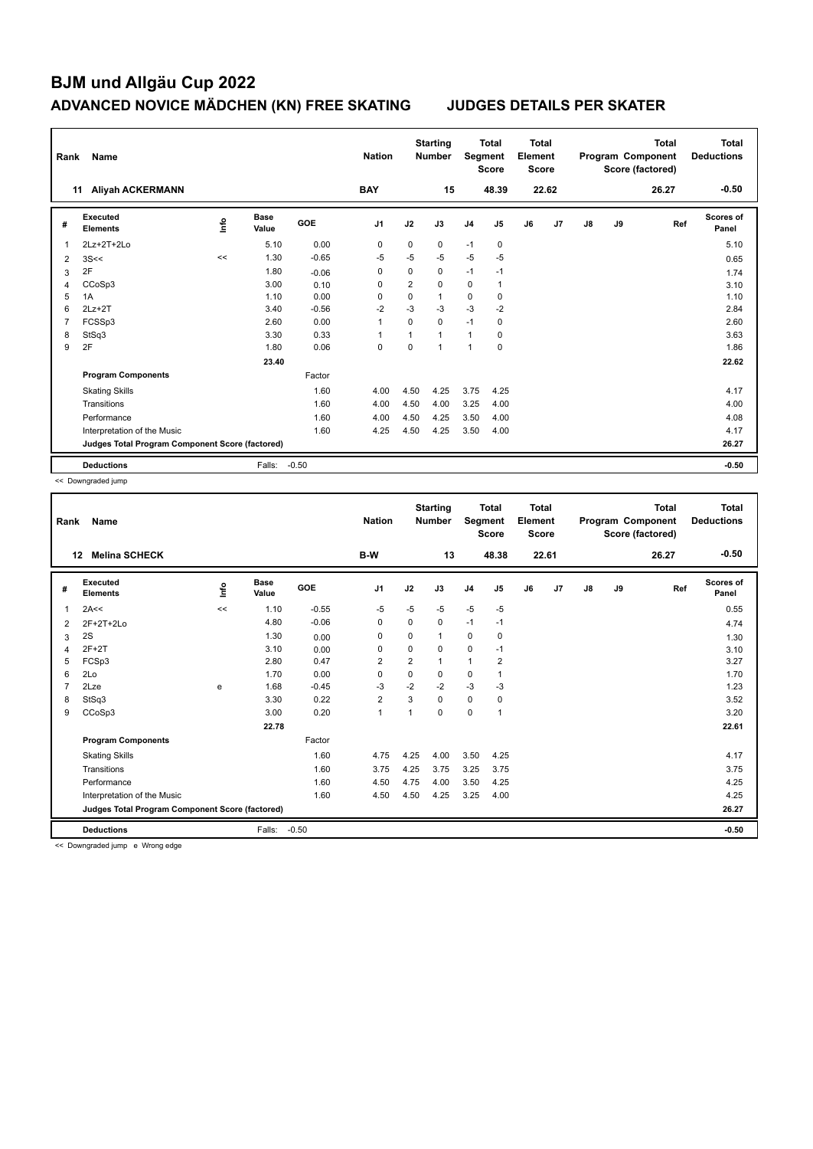| Rank           | Name                                            |      |                      |            | <b>Nation</b>  |             | <b>Starting</b><br><b>Number</b> | Segment        | <b>Total</b><br><b>Score</b> | <b>Total</b><br>Element<br><b>Score</b> |                |    |    | <b>Total</b><br>Program Component<br>Score (factored) | <b>Total</b><br><b>Deductions</b> |
|----------------|-------------------------------------------------|------|----------------------|------------|----------------|-------------|----------------------------------|----------------|------------------------------|-----------------------------------------|----------------|----|----|-------------------------------------------------------|-----------------------------------|
| 11             | <b>Aliyah ACKERMANN</b>                         |      |                      |            | <b>BAY</b>     |             | 15                               |                | 48.39                        |                                         | 22.62          |    |    | 26.27                                                 | $-0.50$                           |
| #              | Executed<br><b>Elements</b>                     | lnfo | <b>Base</b><br>Value | <b>GOE</b> | J <sub>1</sub> | J2          | J3                               | J <sub>4</sub> | J <sub>5</sub>               | J6                                      | J <sub>7</sub> | J8 | J9 | Ref                                                   | Scores of<br>Panel                |
| 1              | 2Lz+2T+2Lo                                      |      | 5.10                 | 0.00       | 0              | $\mathbf 0$ | 0                                | $-1$           | $\mathbf 0$                  |                                         |                |    |    |                                                       | 5.10                              |
| 2              | 3S<<                                            | <<   | 1.30                 | $-0.65$    | -5             | $-5$        | $-5$                             | $-5$           | -5                           |                                         |                |    |    |                                                       | 0.65                              |
| 3              | 2F                                              |      | 1.80                 | $-0.06$    | $\Omega$       | $\Omega$    | $\Omega$                         | $-1$           | $-1$                         |                                         |                |    |    |                                                       | 1.74                              |
| 4              | CCoSp3                                          |      | 3.00                 | 0.10       | 0              | 2           | $\Omega$                         | $\mathbf 0$    | $\mathbf{1}$                 |                                         |                |    |    |                                                       | 3.10                              |
| 5              | 1A                                              |      | 1.10                 | 0.00       | 0              | 0           | $\mathbf{1}$                     | $\mathbf 0$    | $\mathbf 0$                  |                                         |                |    |    |                                                       | 1.10                              |
| 6              | $2Lz+2T$                                        |      | 3.40                 | $-0.56$    | $-2$           | $-3$        | $-3$                             | $-3$           | $-2$                         |                                         |                |    |    |                                                       | 2.84                              |
| $\overline{7}$ | FCSSp3                                          |      | 2.60                 | 0.00       | -1             | $\Omega$    | $\Omega$                         | $-1$           | 0                            |                                         |                |    |    |                                                       | 2.60                              |
| 8              | StSq3                                           |      | 3.30                 | 0.33       | 1              |             | $\mathbf{1}$                     | 1              | 0                            |                                         |                |    |    |                                                       | 3.63                              |
| 9              | 2F                                              |      | 1.80                 | 0.06       | $\Omega$       | $\Omega$    | $\mathbf 1$                      | $\mathbf{1}$   | $\Omega$                     |                                         |                |    |    |                                                       | 1.86                              |
|                |                                                 |      | 23.40                |            |                |             |                                  |                |                              |                                         |                |    |    |                                                       | 22.62                             |
|                | <b>Program Components</b>                       |      |                      | Factor     |                |             |                                  |                |                              |                                         |                |    |    |                                                       |                                   |
|                | <b>Skating Skills</b>                           |      |                      | 1.60       | 4.00           | 4.50        | 4.25                             | 3.75           | 4.25                         |                                         |                |    |    |                                                       | 4.17                              |
|                | Transitions                                     |      |                      | 1.60       | 4.00           | 4.50        | 4.00                             | 3.25           | 4.00                         |                                         |                |    |    |                                                       | 4.00                              |
|                | Performance                                     |      |                      | 1.60       | 4.00           | 4.50        | 4.25                             | 3.50           | 4.00                         |                                         |                |    |    |                                                       | 4.08                              |
|                | Interpretation of the Music                     |      |                      | 1.60       | 4.25           | 4.50        | 4.25                             | 3.50           | 4.00                         |                                         |                |    |    |                                                       | 4.17                              |
|                | Judges Total Program Component Score (factored) |      |                      |            |                |             |                                  |                |                              |                                         |                |    |    |                                                       | 26.27                             |
|                | <b>Deductions</b>                               |      | Falls:               | $-0.50$    |                |             |                                  |                |                              |                                         |                |    |    |                                                       | $-0.50$                           |

<< Downgraded jump

| Rank | Name                                            |      |               |         | <b>Nation</b>  |                | <b>Starting</b><br><b>Number</b> | Segment        | <b>Total</b><br><b>Score</b> | Total<br>Element<br><b>Score</b> |       |               |    | <b>Total</b><br>Program Component<br>Score (factored) | <b>Total</b><br><b>Deductions</b> |
|------|-------------------------------------------------|------|---------------|---------|----------------|----------------|----------------------------------|----------------|------------------------------|----------------------------------|-------|---------------|----|-------------------------------------------------------|-----------------------------------|
|      | 12<br><b>Melina SCHECK</b>                      |      |               |         | B-W            |                | 13                               |                | 48.38                        |                                  | 22.61 |               |    | 26.27                                                 | $-0.50$                           |
| #    | Executed<br><b>Elements</b>                     | lnfo | Base<br>Value | GOE     | J1             | J2             | J3                               | J <sub>4</sub> | J5                           | J6                               | J7    | $\mathsf{J}8$ | J9 | Ref                                                   | Scores of<br>Panel                |
| 1    | 2A<<                                            | <<   | 1.10          | $-0.55$ | -5             | $-5$           | $-5$                             | $-5$           | $-5$                         |                                  |       |               |    |                                                       | 0.55                              |
| 2    | $2F+2T+2Lo$                                     |      | 4.80          | $-0.06$ | 0              | 0              | $\Omega$                         | $-1$           | $-1$                         |                                  |       |               |    |                                                       | 4.74                              |
| 3    | 2S                                              |      | 1.30          | 0.00    | 0              | 0              | 1                                | 0              | 0                            |                                  |       |               |    |                                                       | 1.30                              |
| 4    | $2F+2T$                                         |      | 3.10          | 0.00    | 0              | 0              | 0                                | 0              | $-1$                         |                                  |       |               |    |                                                       | 3.10                              |
| 5    | FCSp3                                           |      | 2.80          | 0.47    | 2              | $\overline{2}$ | 1                                | $\mathbf{1}$   | $\overline{2}$               |                                  |       |               |    |                                                       | 3.27                              |
| 6    | 2Lo                                             |      | 1.70          | 0.00    | $\Omega$       | $\mathbf 0$    | 0                                | $\mathbf 0$    | 1                            |                                  |       |               |    |                                                       | 1.70                              |
|      | 2Lze                                            | e    | 1.68          | $-0.45$ | -3             | $-2$           | $-2$                             | $-3$           | $-3$                         |                                  |       |               |    |                                                       | 1.23                              |
| 8    | StSq3                                           |      | 3.30          | 0.22    | $\overline{2}$ | 3              | 0                                | $\pmb{0}$      | 0                            |                                  |       |               |    |                                                       | 3.52                              |
| 9    | CCoSp3                                          |      | 3.00          | 0.20    | $\mathbf{1}$   | $\overline{1}$ | 0                                | 0              | 1                            |                                  |       |               |    |                                                       | 3.20                              |
|      |                                                 |      | 22.78         |         |                |                |                                  |                |                              |                                  |       |               |    |                                                       | 22.61                             |
|      | <b>Program Components</b>                       |      |               | Factor  |                |                |                                  |                |                              |                                  |       |               |    |                                                       |                                   |
|      | <b>Skating Skills</b>                           |      |               | 1.60    | 4.75           | 4.25           | 4.00                             | 3.50           | 4.25                         |                                  |       |               |    |                                                       | 4.17                              |
|      | Transitions                                     |      |               | 1.60    | 3.75           | 4.25           | 3.75                             | 3.25           | 3.75                         |                                  |       |               |    |                                                       | 3.75                              |
|      | Performance                                     |      |               | 1.60    | 4.50           | 4.75           | 4.00                             | 3.50           | 4.25                         |                                  |       |               |    |                                                       | 4.25                              |
|      | Interpretation of the Music                     |      |               | 1.60    | 4.50           | 4.50           | 4.25                             | 3.25           | 4.00                         |                                  |       |               |    |                                                       | 4.25                              |
|      | Judges Total Program Component Score (factored) |      |               |         |                |                |                                  |                |                              |                                  |       |               |    |                                                       | 26.27                             |
|      | <b>Deductions</b>                               |      | Falls:        | $-0.50$ |                |                |                                  |                |                              |                                  |       |               |    |                                                       | $-0.50$                           |

<< Downgraded jump e Wrong edge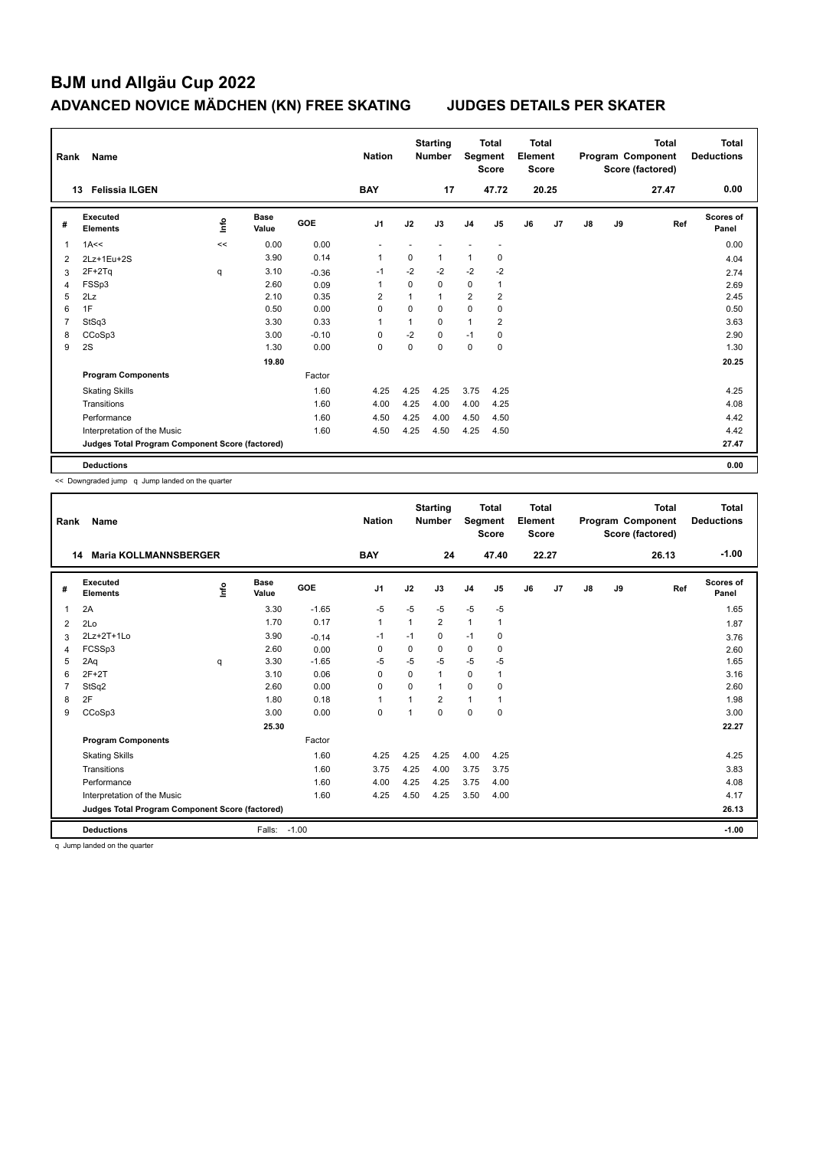| Rank           | Name                                            |    |                      |            | <b>Nation</b>  |          | <b>Starting</b><br><b>Number</b> | Segment        | <b>Total</b><br><b>Score</b> | <b>Total</b><br>Element<br><b>Score</b> |                |    |    | <b>Total</b><br>Program Component<br>Score (factored) | <b>Total</b><br><b>Deductions</b> |
|----------------|-------------------------------------------------|----|----------------------|------------|----------------|----------|----------------------------------|----------------|------------------------------|-----------------------------------------|----------------|----|----|-------------------------------------------------------|-----------------------------------|
|                | <b>Felissia ILGEN</b><br>13                     |    |                      |            | <b>BAY</b>     |          | 17                               |                | 47.72                        |                                         | 20.25          |    |    | 27.47                                                 | 0.00                              |
| #              | Executed<br><b>Elements</b>                     | ۴ů | <b>Base</b><br>Value | <b>GOE</b> | J <sub>1</sub> | J2       | J3                               | J <sub>4</sub> | J <sub>5</sub>               | J6                                      | J <sub>7</sub> | J8 | J9 | Ref                                                   | Scores of<br>Panel                |
| 1              | 1A<<                                            | << | 0.00                 | 0.00       |                |          |                                  |                | $\overline{\phantom{a}}$     |                                         |                |    |    |                                                       | 0.00                              |
| 2              | 2Lz+1Eu+2S                                      |    | 3.90                 | 0.14       | $\mathbf{1}$   | 0        | $\mathbf{1}$                     | $\mathbf{1}$   | 0                            |                                         |                |    |    |                                                       | 4.04                              |
| 3              | $2F+2Tq$                                        | q  | 3.10                 | $-0.36$    | $-1$           | $-2$     | $-2$                             | $-2$           | $-2$                         |                                         |                |    |    |                                                       | 2.74                              |
| $\overline{4}$ | FSSp3                                           |    | 2.60                 | 0.09       | $\overline{1}$ | $\Omega$ | $\mathbf 0$                      | $\mathbf 0$    | 1                            |                                         |                |    |    |                                                       | 2.69                              |
| 5              | 2Lz                                             |    | 2.10                 | 0.35       | 2              |          | $\mathbf{1}$                     | $\overline{2}$ | 2                            |                                         |                |    |    |                                                       | 2.45                              |
| 6              | 1F                                              |    | 0.50                 | 0.00       | $\Omega$       | $\Omega$ | $\Omega$                         | 0              | 0                            |                                         |                |    |    |                                                       | 0.50                              |
| 7              | StSq3                                           |    | 3.30                 | 0.33       | 1              |          | 0                                | $\mathbf{1}$   | $\overline{2}$               |                                         |                |    |    |                                                       | 3.63                              |
| 8              | CCoSp3                                          |    | 3.00                 | $-0.10$    | 0              | $-2$     | $\mathbf 0$                      | $-1$           | $\mathbf 0$                  |                                         |                |    |    |                                                       | 2.90                              |
| 9              | 2S                                              |    | 1.30                 | 0.00       | 0              | 0        | 0                                | $\pmb{0}$      | 0                            |                                         |                |    |    |                                                       | 1.30                              |
|                |                                                 |    | 19.80                |            |                |          |                                  |                |                              |                                         |                |    |    |                                                       | 20.25                             |
|                | <b>Program Components</b>                       |    |                      | Factor     |                |          |                                  |                |                              |                                         |                |    |    |                                                       |                                   |
|                | <b>Skating Skills</b>                           |    |                      | 1.60       | 4.25           | 4.25     | 4.25                             | 3.75           | 4.25                         |                                         |                |    |    |                                                       | 4.25                              |
|                | Transitions                                     |    |                      | 1.60       | 4.00           | 4.25     | 4.00                             | 4.00           | 4.25                         |                                         |                |    |    |                                                       | 4.08                              |
|                | Performance                                     |    |                      | 1.60       | 4.50           | 4.25     | 4.00                             | 4.50           | 4.50                         |                                         |                |    |    |                                                       | 4.42                              |
|                | Interpretation of the Music                     |    |                      | 1.60       | 4.50           | 4.25     | 4.50                             | 4.25           | 4.50                         |                                         |                |    |    |                                                       | 4.42                              |
|                | Judges Total Program Component Score (factored) |    |                      |            |                |          |                                  |                |                              |                                         |                |    |    |                                                       | 27.47                             |
|                | <b>Deductions</b>                               |    |                      |            |                |          |                                  |                |                              |                                         |                |    |    |                                                       | 0.00                              |

<< Downgraded jump q Jump landed on the quarter

| Rank           | Name                                            |             |                      |            | <b>Nation</b>  |                         | <b>Starting</b><br><b>Number</b> | Segment        | <b>Total</b><br><b>Score</b> | <b>Total</b><br>Element<br><b>Score</b> |       |    |    | <b>Total</b><br>Program Component<br>Score (factored) | <b>Total</b><br><b>Deductions</b> |
|----------------|-------------------------------------------------|-------------|----------------------|------------|----------------|-------------------------|----------------------------------|----------------|------------------------------|-----------------------------------------|-------|----|----|-------------------------------------------------------|-----------------------------------|
| 14             | <b>Maria KOLLMANNSBERGER</b>                    |             |                      |            | <b>BAY</b>     |                         | 24                               |                | 47.40                        |                                         | 22.27 |    |    | 26.13                                                 | $-1.00$                           |
| #              | Executed<br><b>Elements</b>                     | <u>lnfo</u> | <b>Base</b><br>Value | <b>GOE</b> | J <sub>1</sub> | J2                      | J3                               | J <sub>4</sub> | J5                           | J6                                      | J7    | J8 | J9 | Ref                                                   | <b>Scores of</b><br>Panel         |
| 1              | 2A                                              |             | 3.30                 | $-1.65$    | $-5$           | $-5$                    | $-5$                             | $-5$           | $-5$                         |                                         |       |    |    |                                                       | 1.65                              |
| 2              | 2Lo                                             |             | 1.70                 | 0.17       | $\mathbf{1}$   | $\overline{1}$          | 2                                | $\mathbf{1}$   | 1                            |                                         |       |    |    |                                                       | 1.87                              |
| 3              | 2Lz+2T+1Lo                                      |             | 3.90                 | $-0.14$    | $-1$           | $-1$                    | 0                                | $-1$           | 0                            |                                         |       |    |    |                                                       | 3.76                              |
| 4              | FCSSp3                                          |             | 2.60                 | 0.00       | 0              | 0                       | 0                                | 0              | 0                            |                                         |       |    |    |                                                       | 2.60                              |
| 5              | 2Aq                                             | q           | 3.30                 | $-1.65$    | $-5$           | $-5$                    | $-5$                             | $-5$           | $-5$                         |                                         |       |    |    |                                                       | 1.65                              |
| 6              | $2F+2T$                                         |             | 3.10                 | 0.06       | $\Omega$       | $\Omega$                | 1                                | 0              | 1                            |                                         |       |    |    |                                                       | 3.16                              |
| $\overline{7}$ | StSq2                                           |             | 2.60                 | 0.00       | $\Omega$       | $\Omega$                | 1                                | $\mathbf 0$    | 0                            |                                         |       |    |    |                                                       | 2.60                              |
| 8              | 2F                                              |             | 1.80                 | 0.18       | $\mathbf{1}$   |                         | $\overline{2}$                   | $\overline{1}$ |                              |                                         |       |    |    |                                                       | 1.98                              |
| 9              | CCoSp3                                          |             | 3.00                 | 0.00       | $\mathbf 0$    | $\overline{\mathbf{1}}$ | 0                                | $\mathbf 0$    | $\mathbf 0$                  |                                         |       |    |    |                                                       | 3.00                              |
|                |                                                 |             | 25.30                |            |                |                         |                                  |                |                              |                                         |       |    |    |                                                       | 22.27                             |
|                | <b>Program Components</b>                       |             |                      | Factor     |                |                         |                                  |                |                              |                                         |       |    |    |                                                       |                                   |
|                | <b>Skating Skills</b>                           |             |                      | 1.60       | 4.25           | 4.25                    | 4.25                             | 4.00           | 4.25                         |                                         |       |    |    |                                                       | 4.25                              |
|                | Transitions                                     |             |                      | 1.60       | 3.75           | 4.25                    | 4.00                             | 3.75           | 3.75                         |                                         |       |    |    |                                                       | 3.83                              |
|                | Performance                                     |             |                      | 1.60       | 4.00           | 4.25                    | 4.25                             | 3.75           | 4.00                         |                                         |       |    |    |                                                       | 4.08                              |
|                | Interpretation of the Music                     |             |                      | 1.60       | 4.25           | 4.50                    | 4.25                             | 3.50           | 4.00                         |                                         |       |    |    |                                                       | 4.17                              |
|                | Judges Total Program Component Score (factored) |             |                      |            |                |                         |                                  |                |                              |                                         |       |    |    |                                                       | 26.13                             |
|                | <b>Deductions</b>                               |             | Falls:               | $-1.00$    |                |                         |                                  |                |                              |                                         |       |    |    |                                                       | $-1.00$                           |

q Jump landed on the quarter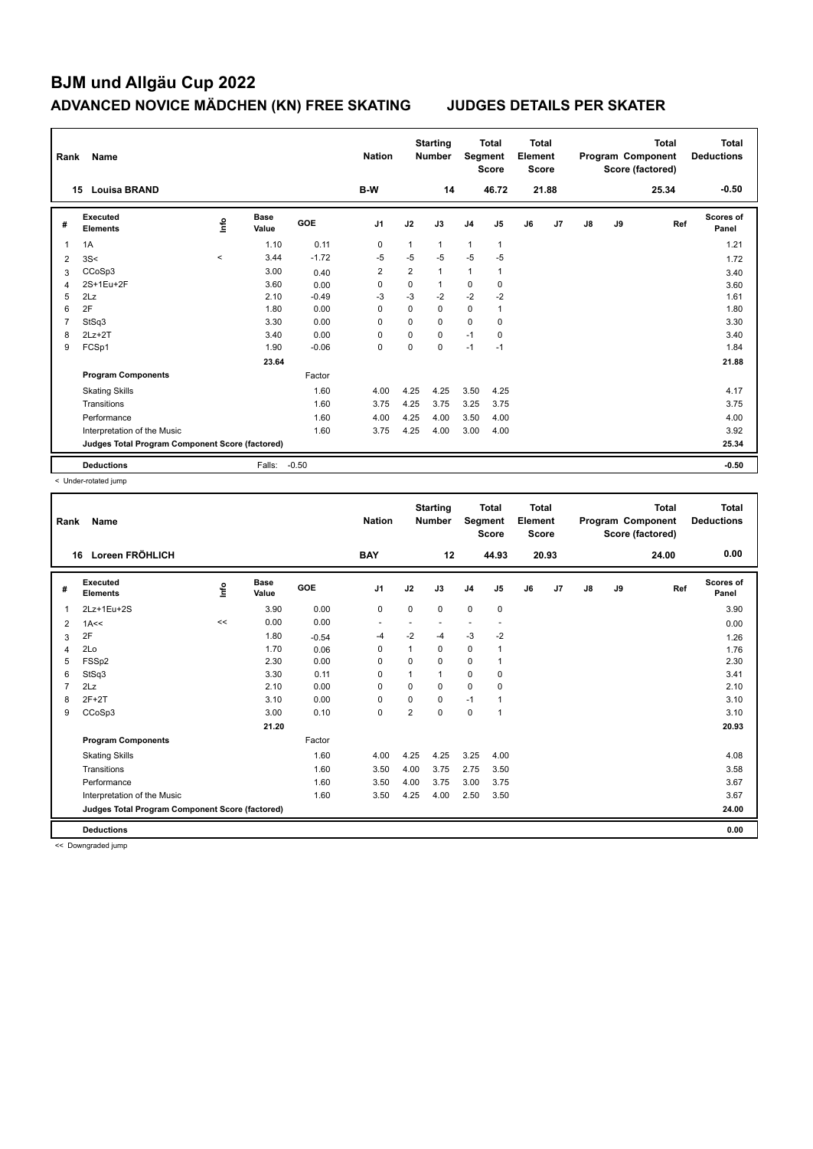| Rank           | Name                                            |                          |                      |            | <b>Nation</b>  |                | <b>Starting</b><br><b>Number</b> | Segment        | <b>Total</b><br><b>Score</b> | <b>Total</b><br>Element<br><b>Score</b> |       |    |    | <b>Total</b><br>Program Component<br>Score (factored) | Total<br><b>Deductions</b> |
|----------------|-------------------------------------------------|--------------------------|----------------------|------------|----------------|----------------|----------------------------------|----------------|------------------------------|-----------------------------------------|-------|----|----|-------------------------------------------------------|----------------------------|
|                | <b>Louisa BRAND</b><br>15                       |                          |                      |            | B-W            |                | 14                               |                | 46.72                        |                                         | 21.88 |    |    | 25.34                                                 | $-0.50$                    |
| #              | Executed<br><b>Elements</b>                     | ١nf٥                     | <b>Base</b><br>Value | <b>GOE</b> | J <sub>1</sub> | J2             | J3                               | J <sub>4</sub> | J5                           | J6                                      | J7    | J8 | J9 | Ref                                                   | Scores of<br>Panel         |
| 1              | 1A                                              |                          | 1.10                 | 0.11       | 0              | 1              | $\mathbf{1}$                     | 1              | $\mathbf{1}$                 |                                         |       |    |    |                                                       | 1.21                       |
| 2              | 3S<                                             | $\overline{\phantom{a}}$ | 3.44                 | $-1.72$    | $-5$           | $-5$           | $-5$                             | $-5$           | $-5$                         |                                         |       |    |    |                                                       | 1.72                       |
| 3              | CCoSp3                                          |                          | 3.00                 | 0.40       | $\overline{2}$ | $\overline{2}$ | $\mathbf{1}$                     | 1              | $\mathbf{1}$                 |                                         |       |    |    |                                                       | 3.40                       |
| 4              | 2S+1Eu+2F                                       |                          | 3.60                 | 0.00       | 0              | $\mathbf 0$    | 1                                | 0              | 0                            |                                         |       |    |    |                                                       | 3.60                       |
| 5              | 2Lz                                             |                          | 2.10                 | $-0.49$    | $-3$           | $-3$           | $-2$                             | $-2$           | $-2$                         |                                         |       |    |    |                                                       | 1.61                       |
| 6              | 2F                                              |                          | 1.80                 | 0.00       | 0              | $\mathbf 0$    | 0                                | 0              | $\mathbf{1}$                 |                                         |       |    |    |                                                       | 1.80                       |
| $\overline{7}$ | StSq3                                           |                          | 3.30                 | 0.00       | $\Omega$       | $\Omega$       | $\Omega$                         | $\mathbf 0$    | $\Omega$                     |                                         |       |    |    |                                                       | 3.30                       |
| 8              | $2Lz+2T$                                        |                          | 3.40                 | 0.00       | $\Omega$       | $\Omega$       | $\Omega$                         | $-1$           | $\mathbf 0$                  |                                         |       |    |    |                                                       | 3.40                       |
| 9              | FCSp1                                           |                          | 1.90                 | $-0.06$    | 0              | 0              | $\Omega$                         | $-1$           | $-1$                         |                                         |       |    |    |                                                       | 1.84                       |
|                |                                                 |                          | 23.64                |            |                |                |                                  |                |                              |                                         |       |    |    |                                                       | 21.88                      |
|                | <b>Program Components</b>                       |                          |                      | Factor     |                |                |                                  |                |                              |                                         |       |    |    |                                                       |                            |
|                | <b>Skating Skills</b>                           |                          |                      | 1.60       | 4.00           | 4.25           | 4.25                             | 3.50           | 4.25                         |                                         |       |    |    |                                                       | 4.17                       |
|                | Transitions                                     |                          |                      | 1.60       | 3.75           | 4.25           | 3.75                             | 3.25           | 3.75                         |                                         |       |    |    |                                                       | 3.75                       |
|                | Performance                                     |                          |                      | 1.60       | 4.00           | 4.25           | 4.00                             | 3.50           | 4.00                         |                                         |       |    |    |                                                       | 4.00                       |
|                | Interpretation of the Music                     |                          |                      | 1.60       | 3.75           | 4.25           | 4.00                             | 3.00           | 4.00                         |                                         |       |    |    |                                                       | 3.92                       |
|                | Judges Total Program Component Score (factored) |                          |                      |            |                |                |                                  |                |                              |                                         |       |    |    |                                                       | 25.34                      |
|                | <b>Deductions</b>                               |                          | Falls:               | $-0.50$    |                |                |                                  |                |                              |                                         |       |    |    |                                                       | $-0.50$                    |

< Under-rotated jump

| Rank | <b>Name</b>                                     |      |                      |         | <b>Nation</b>  |             | <b>Starting</b><br><b>Number</b> | Segment        | <b>Total</b><br><b>Score</b> | <b>Total</b><br>Element<br><b>Score</b> |       |               |    | <b>Total</b><br>Program Component<br>Score (factored) | <b>Total</b><br><b>Deductions</b> |
|------|-------------------------------------------------|------|----------------------|---------|----------------|-------------|----------------------------------|----------------|------------------------------|-----------------------------------------|-------|---------------|----|-------------------------------------------------------|-----------------------------------|
|      | Loreen FRÖHLICH<br>16                           |      |                      |         | <b>BAY</b>     |             | 12                               |                | 44.93                        |                                         | 20.93 |               |    | 24.00                                                 | 0.00                              |
| #    | Executed<br><b>Elements</b>                     | Info | <b>Base</b><br>Value | GOE     | J <sub>1</sub> | J2          | J3                               | J <sub>4</sub> | J <sub>5</sub>               | J6                                      | J7    | $\mathsf{J}8$ | J9 | Ref                                                   | <b>Scores of</b><br>Panel         |
| 1    | 2Lz+1Eu+2S                                      |      | 3.90                 | 0.00    | $\mathbf 0$    | $\mathbf 0$ | 0                                | $\mathbf 0$    | $\mathbf 0$                  |                                         |       |               |    |                                                       | 3.90                              |
| 2    | 1A<<                                            | <<   | 0.00                 | 0.00    | ٠              |             |                                  | ٠              | $\overline{\phantom{a}}$     |                                         |       |               |    |                                                       | 0.00                              |
| 3    | 2F                                              |      | 1.80                 | $-0.54$ | -4             | $-2$        | $-4$                             | $-3$           | $-2$                         |                                         |       |               |    |                                                       | 1.26                              |
| 4    | 2Lo                                             |      | 1.70                 | 0.06    | $\Omega$       | 1           | $\Omega$                         | $\mathbf 0$    |                              |                                         |       |               |    |                                                       | 1.76                              |
| 5    | FSSp2                                           |      | 2.30                 | 0.00    | 0              | 0           | 0                                | $\mathbf 0$    | 1                            |                                         |       |               |    |                                                       | 2.30                              |
| 6    | StSq3                                           |      | 3.30                 | 0.11    | $\Omega$       | 1           | 1                                | $\mathbf 0$    | 0                            |                                         |       |               |    |                                                       | 3.41                              |
|      | 2Lz                                             |      | 2.10                 | 0.00    | $\Omega$       | 0           | $\Omega$                         | 0              | 0                            |                                         |       |               |    |                                                       | 2.10                              |
| 8    | $2F+2T$                                         |      | 3.10                 | 0.00    | $\mathbf 0$    | $\Omega$    | $\Omega$                         | $-1$           |                              |                                         |       |               |    |                                                       | 3.10                              |
| 9    | CCoSp3                                          |      | 3.00                 | 0.10    | $\mathbf 0$    | 2           | 0                                | $\mathbf 0$    | 1                            |                                         |       |               |    |                                                       | 3.10                              |
|      |                                                 |      | 21.20                |         |                |             |                                  |                |                              |                                         |       |               |    |                                                       | 20.93                             |
|      | <b>Program Components</b>                       |      |                      | Factor  |                |             |                                  |                |                              |                                         |       |               |    |                                                       |                                   |
|      | <b>Skating Skills</b>                           |      |                      | 1.60    | 4.00           | 4.25        | 4.25                             | 3.25           | 4.00                         |                                         |       |               |    |                                                       | 4.08                              |
|      | Transitions                                     |      |                      | 1.60    | 3.50           | 4.00        | 3.75                             | 2.75           | 3.50                         |                                         |       |               |    |                                                       | 3.58                              |
|      | Performance                                     |      |                      | 1.60    | 3.50           | 4.00        | 3.75                             | 3.00           | 3.75                         |                                         |       |               |    |                                                       | 3.67                              |
|      | Interpretation of the Music                     |      |                      | 1.60    | 3.50           | 4.25        | 4.00                             | 2.50           | 3.50                         |                                         |       |               |    |                                                       | 3.67                              |
|      | Judges Total Program Component Score (factored) |      |                      |         |                |             |                                  |                |                              |                                         |       |               |    |                                                       | 24.00                             |
|      | <b>Deductions</b>                               |      |                      |         |                |             |                                  |                |                              |                                         |       |               |    |                                                       | 0.00                              |

<< Downgraded jump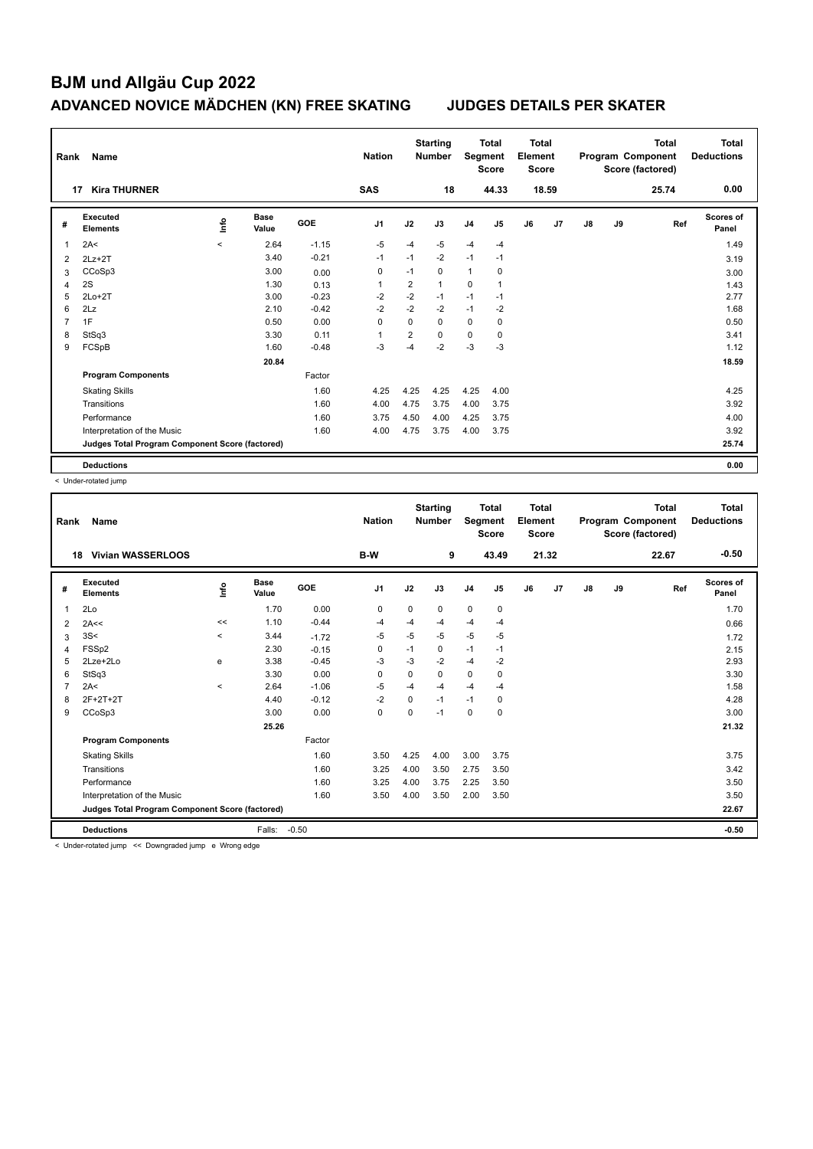| Rank | Name                                            |         |                      |            | <b>Nation</b>  |                | <b>Starting</b><br><b>Number</b> | Segment        | <b>Total</b><br><b>Score</b> | Total<br>Element<br><b>Score</b> |       |    |    | <b>Total</b><br>Program Component<br>Score (factored) | Total<br><b>Deductions</b> |
|------|-------------------------------------------------|---------|----------------------|------------|----------------|----------------|----------------------------------|----------------|------------------------------|----------------------------------|-------|----|----|-------------------------------------------------------|----------------------------|
| 17   | <b>Kira THURNER</b>                             |         |                      |            | <b>SAS</b>     |                | 18                               |                | 44.33                        |                                  | 18.59 |    |    | 25.74                                                 | 0.00                       |
| #    | <b>Executed</b><br><b>Elements</b>              | ۴ů      | <b>Base</b><br>Value | <b>GOE</b> | J <sub>1</sub> | J2             | J3                               | J <sub>4</sub> | J5                           | J6                               | J7    | J8 | J9 | Ref                                                   | Scores of<br>Panel         |
| 1    | 2A<                                             | $\prec$ | 2.64                 | $-1.15$    | $-5$           | $-4$           | $-5$                             | $-4$           | $-4$                         |                                  |       |    |    |                                                       | 1.49                       |
| 2    | $2Lz + 2T$                                      |         | 3.40                 | $-0.21$    | $-1$           | $-1$           | $-2$                             | $-1$           | $-1$                         |                                  |       |    |    |                                                       | 3.19                       |
| 3    | CCoSp3                                          |         | 3.00                 | 0.00       | 0              | $-1$           | $\mathbf 0$                      | $\mathbf{1}$   | 0                            |                                  |       |    |    |                                                       | 3.00                       |
| 4    | 2S                                              |         | 1.30                 | 0.13       | $\overline{1}$ | $\overline{2}$ | $\mathbf{1}$                     | $\mathbf 0$    | $\mathbf{1}$                 |                                  |       |    |    |                                                       | 1.43                       |
| 5    | $2Lo+2T$                                        |         | 3.00                 | $-0.23$    | $-2$           | $-2$           | $-1$                             | $-1$           | $-1$                         |                                  |       |    |    |                                                       | 2.77                       |
| 6    | 2Lz                                             |         | 2.10                 | $-0.42$    | $-2$           | $-2$           | $-2$                             | $-1$           | $-2$                         |                                  |       |    |    |                                                       | 1.68                       |
| 7    | 1F                                              |         | 0.50                 | 0.00       | 0              | $\Omega$       | $\Omega$                         | 0              | 0                            |                                  |       |    |    |                                                       | 0.50                       |
| 8    | StSq3                                           |         | 3.30                 | 0.11       | $\overline{1}$ | 2              | $\Omega$                         | 0              | 0                            |                                  |       |    |    |                                                       | 3.41                       |
| 9    | FCSpB                                           |         | 1.60                 | $-0.48$    | $-3$           | $-4$           | $-2$                             | $-3$           | $-3$                         |                                  |       |    |    |                                                       | 1.12                       |
|      |                                                 |         | 20.84                |            |                |                |                                  |                |                              |                                  |       |    |    |                                                       | 18.59                      |
|      | <b>Program Components</b>                       |         |                      | Factor     |                |                |                                  |                |                              |                                  |       |    |    |                                                       |                            |
|      | <b>Skating Skills</b>                           |         |                      | 1.60       | 4.25           | 4.25           | 4.25                             | 4.25           | 4.00                         |                                  |       |    |    |                                                       | 4.25                       |
|      | Transitions                                     |         |                      | 1.60       | 4.00           | 4.75           | 3.75                             | 4.00           | 3.75                         |                                  |       |    |    |                                                       | 3.92                       |
|      | Performance                                     |         |                      | 1.60       | 3.75           | 4.50           | 4.00                             | 4.25           | 3.75                         |                                  |       |    |    |                                                       | 4.00                       |
|      | Interpretation of the Music                     |         |                      | 1.60       | 4.00           | 4.75           | 3.75                             | 4.00           | 3.75                         |                                  |       |    |    |                                                       | 3.92                       |
|      | Judges Total Program Component Score (factored) |         |                      |            |                |                |                                  |                |                              |                                  |       |    |    |                                                       | 25.74                      |
|      | <b>Deductions</b>                               |         |                      |            |                |                |                                  |                |                              |                                  |       |    |    |                                                       | 0.00                       |

< Under-rotated jump

| Rank | Name                                            |          |                      |         | <b>Nation</b>  |      | <b>Starting</b><br><b>Number</b> | Segment        | <b>Total</b><br><b>Score</b> | <b>Total</b><br>Element<br><b>Score</b> |       |               |    | <b>Total</b><br>Program Component<br>Score (factored) | <b>Total</b><br><b>Deductions</b> |
|------|-------------------------------------------------|----------|----------------------|---------|----------------|------|----------------------------------|----------------|------------------------------|-----------------------------------------|-------|---------------|----|-------------------------------------------------------|-----------------------------------|
|      | <b>Vivian WASSERLOOS</b><br>18                  |          |                      |         | B-W            |      | 9                                |                | 43.49                        |                                         | 21.32 |               |    | 22.67                                                 | $-0.50$                           |
| #    | Executed<br><b>Elements</b>                     | lnfo     | <b>Base</b><br>Value | GOE     | J <sub>1</sub> | J2   | J3                               | J <sub>4</sub> | J5                           | J6                                      | J7    | $\mathsf{J}8$ | J9 | Ref                                                   | <b>Scores of</b><br>Panel         |
| 1    | 2Lo                                             |          | 1.70                 | 0.00    | 0              | 0    | 0                                | $\mathbf 0$    | 0                            |                                         |       |               |    |                                                       | 1.70                              |
| 2    | 2A<<                                            | <<       | 1.10                 | $-0.44$ | -4             | $-4$ | $-4$                             | $-4$           | $-4$                         |                                         |       |               |    |                                                       | 0.66                              |
| 3    | 3S<                                             | $\hat{}$ | 3.44                 | $-1.72$ | $-5$           | $-5$ | $-5$                             | $-5$           | $-5$                         |                                         |       |               |    |                                                       | 1.72                              |
| 4    | FSSp2                                           |          | 2.30                 | $-0.15$ | 0              | $-1$ | 0                                | $-1$           | $-1$                         |                                         |       |               |    |                                                       | 2.15                              |
| 5    | 2Lze+2Lo                                        | e        | 3.38                 | $-0.45$ | $-3$           | -3   | $-2$                             | $-4$           | $-2$                         |                                         |       |               |    |                                                       | 2.93                              |
| 6    | StSq3                                           |          | 3.30                 | 0.00    | 0              | 0    | 0                                | $\mathbf 0$    | 0                            |                                         |       |               |    |                                                       | 3.30                              |
|      | 2A<                                             | $\prec$  | 2.64                 | $-1.06$ | $-5$           | $-4$ | $-4$                             | $-4$           | $-4$                         |                                         |       |               |    |                                                       | 1.58                              |
| 8    | 2F+2T+2T                                        |          | 4.40                 | $-0.12$ | $-2$           | 0    | $-1$                             | $-1$           | 0                            |                                         |       |               |    |                                                       | 4.28                              |
| 9    | CCoSp3                                          |          | 3.00                 | 0.00    | 0              | 0    | $-1$                             | 0              | 0                            |                                         |       |               |    |                                                       | 3.00                              |
|      |                                                 |          | 25.26                |         |                |      |                                  |                |                              |                                         |       |               |    |                                                       | 21.32                             |
|      | <b>Program Components</b>                       |          |                      | Factor  |                |      |                                  |                |                              |                                         |       |               |    |                                                       |                                   |
|      | <b>Skating Skills</b>                           |          |                      | 1.60    | 3.50           | 4.25 | 4.00                             | 3.00           | 3.75                         |                                         |       |               |    |                                                       | 3.75                              |
|      | Transitions                                     |          |                      | 1.60    | 3.25           | 4.00 | 3.50                             | 2.75           | 3.50                         |                                         |       |               |    |                                                       | 3.42                              |
|      | Performance                                     |          |                      | 1.60    | 3.25           | 4.00 | 3.75                             | 2.25           | 3.50                         |                                         |       |               |    |                                                       | 3.50                              |
|      | Interpretation of the Music                     |          |                      | 1.60    | 3.50           | 4.00 | 3.50                             | 2.00           | 3.50                         |                                         |       |               |    |                                                       | 3.50                              |
|      | Judges Total Program Component Score (factored) |          |                      |         |                |      |                                  |                |                              |                                         |       |               |    |                                                       | 22.67                             |
|      | <b>Deductions</b>                               |          | Falls:               | $-0.50$ |                |      |                                  |                |                              |                                         |       |               |    |                                                       | $-0.50$                           |

< Under-rotated jump << Downgraded jump e Wrong edge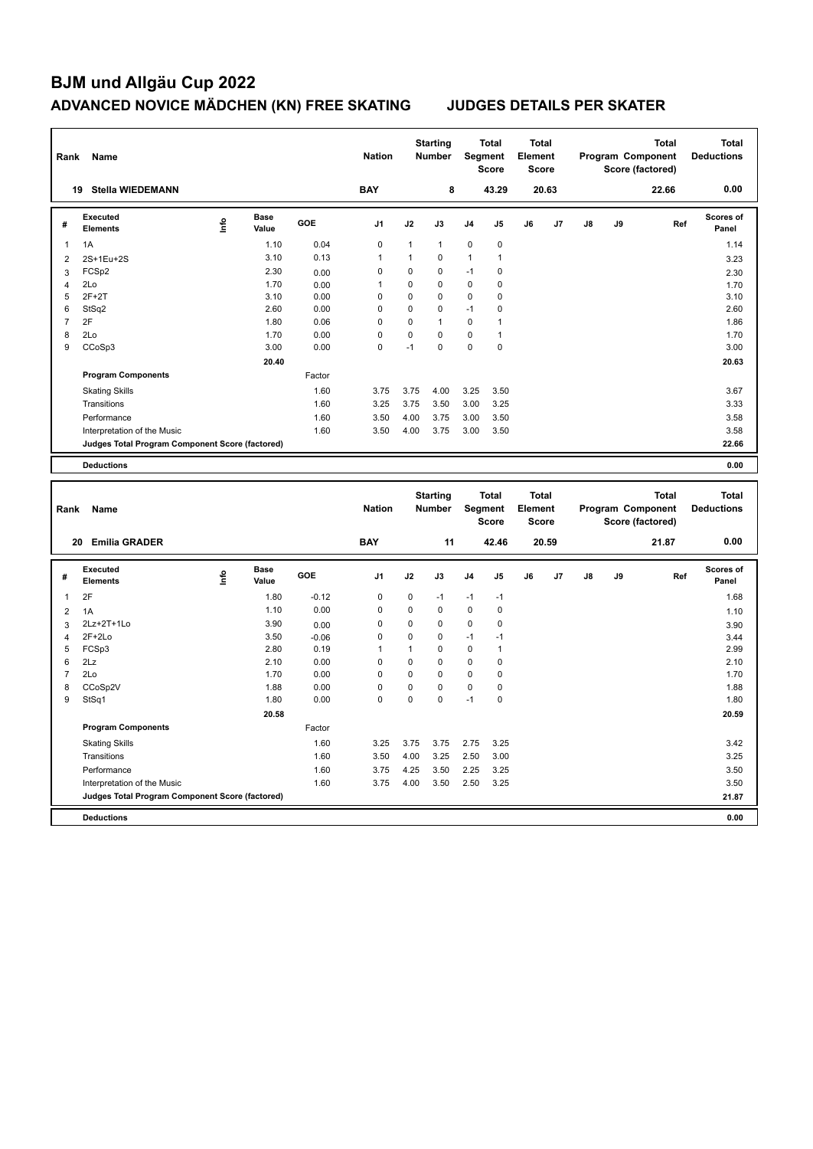| Rank           | Name                                            |      |                      |         | <b>Nation</b> |              | <b>Starting</b><br>Number        | <b>Segment</b> | <b>Total</b><br><b>Score</b> | <b>Total</b><br>Element<br><b>Score</b> |       |    |    | Program Component<br>Score (factored) | <b>Total</b> | <b>Total</b><br><b>Deductions</b> |
|----------------|-------------------------------------------------|------|----------------------|---------|---------------|--------------|----------------------------------|----------------|------------------------------|-----------------------------------------|-------|----|----|---------------------------------------|--------------|-----------------------------------|
|                | 19 Stella WIEDEMANN                             |      |                      |         | <b>BAY</b>    |              | 8                                |                | 43.29                        |                                         | 20.63 |    |    | 22.66                                 |              | 0.00                              |
| #              | <b>Executed</b><br>Elements                     | Info | <b>Base</b><br>Value | GOE     | J1            | J2           | J3                               | J4             | J5                           | J6                                      | J7    | J8 | J9 |                                       | Ref          | <b>Scores of</b><br>Panel         |
| $\mathbf{1}$   | 1A                                              |      | 1.10                 | 0.04    | $\mathbf 0$   | $\mathbf{1}$ | $\mathbf{1}$                     | 0              | $\pmb{0}$                    |                                         |       |    |    |                                       |              | 1.14                              |
| $\overline{2}$ | 2S+1Eu+2S                                       |      | 3.10                 | 0.13    | 1             | 1            | $\mathbf 0$                      | 1              | 1                            |                                         |       |    |    |                                       |              | 3.23                              |
| 3              | FCSp2                                           |      | 2.30                 | 0.00    | 0             | 0            | $\mathbf 0$                      | $-1$           | 0                            |                                         |       |    |    |                                       |              | 2.30                              |
| 4              | 2Lo                                             |      | 1.70                 | 0.00    | 1             | $\pmb{0}$    | $\mathbf 0$                      | 0              | 0                            |                                         |       |    |    |                                       |              | 1.70                              |
| 5              | $2F+2T$                                         |      | 3.10                 | 0.00    | 0             | $\pmb{0}$    | $\mathbf 0$                      | 0              | $\pmb{0}$                    |                                         |       |    |    |                                       |              | 3.10                              |
| 6              | StSq2                                           |      | 2.60                 | 0.00    | 0             | 0            | $\mathbf 0$                      | $-1$           | 0                            |                                         |       |    |    |                                       |              | 2.60                              |
| $\overline{7}$ | 2F                                              |      | 1.80                 | 0.06    | $\pmb{0}$     | 0            | $\mathbf{1}$                     | 0              | 1                            |                                         |       |    |    |                                       |              | 1.86                              |
| 8              | 2Lo                                             |      | 1.70                 | 0.00    | 0             | 0            | $\mathbf 0$                      | $\mathbf 0$    | $\mathbf{1}$                 |                                         |       |    |    |                                       |              | 1.70                              |
| 9              | CCoSp3                                          |      | 3.00                 | 0.00    | 0             | $-1$         | $\mathbf 0$                      | $\mathbf 0$    | $\pmb{0}$                    |                                         |       |    |    |                                       |              | 3.00                              |
|                |                                                 |      | 20.40                |         |               |              |                                  |                |                              |                                         |       |    |    |                                       |              | 20.63                             |
|                | <b>Program Components</b>                       |      |                      | Factor  |               |              |                                  |                |                              |                                         |       |    |    |                                       |              |                                   |
|                | <b>Skating Skills</b>                           |      |                      | 1.60    | 3.75          | 3.75         | 4.00                             | 3.25           | 3.50                         |                                         |       |    |    |                                       |              | 3.67                              |
|                | Transitions                                     |      |                      | 1.60    | 3.25          | 3.75         | 3.50                             | 3.00           | 3.25                         |                                         |       |    |    |                                       |              | 3.33                              |
|                | Performance                                     |      |                      | 1.60    | 3.50          | 4.00         | 3.75                             | 3.00           | 3.50                         |                                         |       |    |    |                                       |              | 3.58                              |
|                | Interpretation of the Music                     |      |                      | 1.60    | 3.50          | 4.00         | 3.75                             | 3.00           | 3.50                         |                                         |       |    |    |                                       |              | 3.58                              |
|                | Judges Total Program Component Score (factored) |      |                      |         |               |              |                                  |                |                              |                                         |       |    |    |                                       |              | 22.66                             |
|                | <b>Deductions</b>                               |      |                      |         |               |              |                                  |                |                              |                                         |       |    |    |                                       |              | 0.00                              |
|                |                                                 |      |                      |         |               |              |                                  |                |                              |                                         |       |    |    |                                       |              |                                   |
|                |                                                 |      |                      |         |               |              |                                  |                |                              |                                         |       |    |    |                                       |              |                                   |
| Rank           | Name                                            |      |                      |         | <b>Nation</b> |              | <b>Starting</b><br><b>Number</b> | <b>Segment</b> | <b>Total</b><br><b>Score</b> | <b>Total</b><br>Element<br><b>Score</b> |       |    |    | Program Component<br>Score (factored) | <b>Total</b> | <b>Total</b><br><b>Deductions</b> |
|                | 20 Emilia GRADER                                |      |                      |         | <b>BAY</b>    |              | 11                               |                | 42.46                        |                                         | 20.59 |    |    | 21.87                                 |              | 0.00                              |
| #              | <b>Executed</b><br><b>Elements</b>              | ۴    | <b>Base</b><br>Value | GOE     | J1            | J2           | J3                               | J4             | J5                           | J6                                      | J7    | J8 | J9 |                                       | Ref          | Scores of<br>Panel                |
| 1              | 2F                                              |      | 1.80                 | $-0.12$ | $\pmb{0}$     | 0            | $-1$                             | $-1$           | $-1$                         |                                         |       |    |    |                                       |              | 1.68                              |
| $\overline{2}$ | 1A                                              |      | 1.10                 | 0.00    | 0             | 0            | $\mathbf 0$                      | 0              | $\pmb{0}$                    |                                         |       |    |    |                                       |              | 1.10                              |
| 3              | 2Lz+2T+1Lo                                      |      | 3.90                 | 0.00    | 0             | 0            | $\mathbf 0$                      | 0              | $\pmb{0}$                    |                                         |       |    |    |                                       |              | 3.90                              |
| 4              | $2F+2Lo$                                        |      | 3.50                 | $-0.06$ | $\mathbf 0$   | $\mathbf 0$  | $\mathbf 0$                      | $-1$           | $-1$                         |                                         |       |    |    |                                       |              | 3.44                              |
| 5              | FCSp3                                           |      | 2.80                 | 0.19    | $\mathbf{1}$  | $\mathbf{1}$ | $\mathbf 0$                      | 0              | $\mathbf{1}$                 |                                         |       |    |    |                                       |              | 2.99                              |
| 6              | 2Lz                                             |      | 2.10                 | 0.00    | 0             | 0            | $\mathbf 0$                      | $\mathbf 0$    | $\pmb{0}$                    |                                         |       |    |    |                                       |              | 2.10                              |
| $\overline{7}$ | 2Lo                                             |      | 1.70                 | 0.00    | 0             | 0            | $\mathbf 0$                      | $\mathbf 0$    | $\pmb{0}$                    |                                         |       |    |    |                                       |              | 1.70                              |
| 8              | CCoSp2V                                         |      | 1.88                 | 0.00    | 0             | 0            | $\mathbf 0$                      | $\mathbf 0$    | $\mathbf 0$                  |                                         |       |    |    |                                       |              | 1.88                              |
| 9              | StSq1                                           |      | 1.80                 | 0.00    | $\Omega$      | 0            | $\mathbf 0$                      | $-1$           | $\pmb{0}$                    |                                         |       |    |    |                                       |              | 1.80                              |
|                |                                                 |      | 20.58                |         |               |              |                                  |                |                              |                                         |       |    |    |                                       |              | 20.59                             |
|                | <b>Program Components</b>                       |      |                      | Factor  |               |              |                                  |                |                              |                                         |       |    |    |                                       |              |                                   |
|                | <b>Skating Skills</b>                           |      |                      | 1.60    | 3.25          | 3.75         | 3.75                             | 2.75           | 3.25                         |                                         |       |    |    |                                       |              | 3.42                              |
|                | Transitions                                     |      |                      | 1.60    | 3.50          | 4.00         | 3.25                             | 2.50           | 3.00                         |                                         |       |    |    |                                       |              | 3.25                              |
|                | Performance                                     |      |                      | 1.60    | 3.75          | 4.25         | 3.50                             | 2.25           | 3.25                         |                                         |       |    |    |                                       |              | 3.50                              |
|                | Interpretation of the Music                     |      |                      | 1.60    | 3.75          | 4.00         | 3.50                             | 2.50           | 3.25                         |                                         |       |    |    |                                       |              | 3.50                              |
|                | Judges Total Program Component Score (factored) |      |                      |         |               |              |                                  |                |                              |                                         |       |    |    |                                       |              | 21.87                             |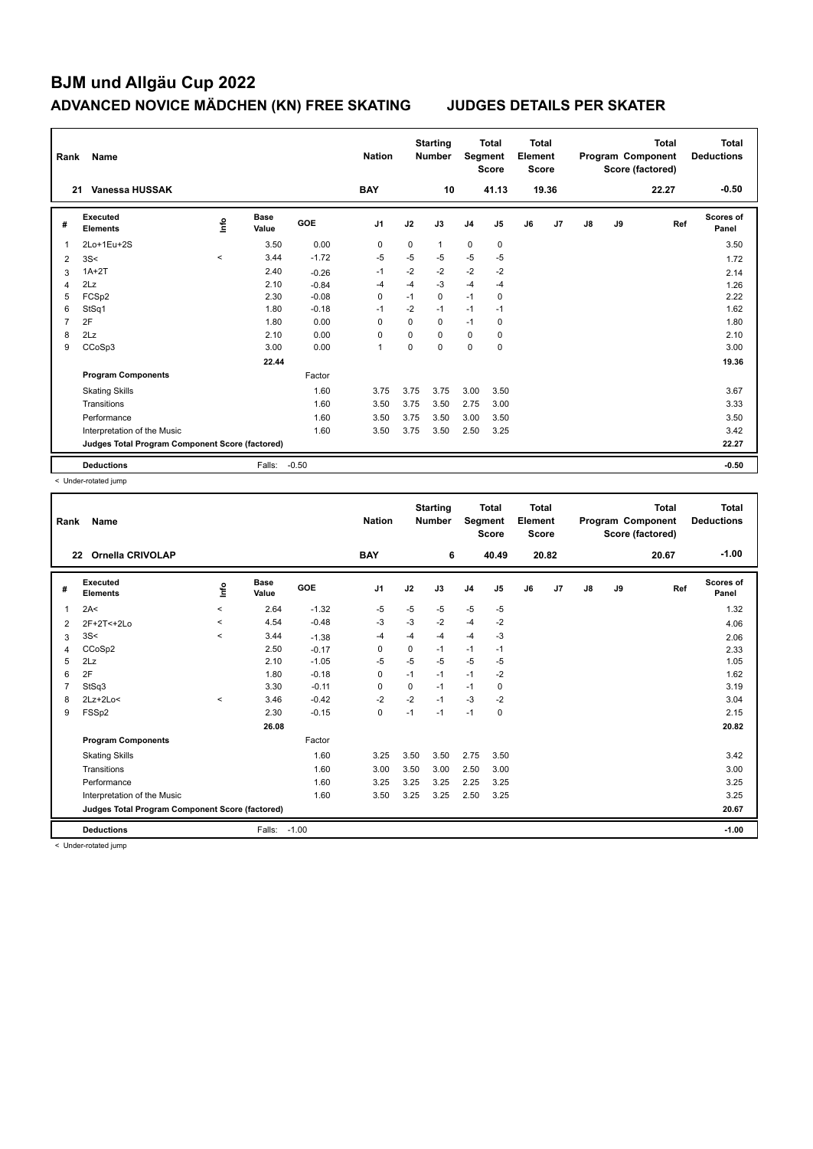| Rank | Name                                            |         |                      |            | <b>Nation</b>  |             | <b>Starting</b><br><b>Number</b> | Segment        | <b>Total</b><br><b>Score</b> | <b>Total</b><br>Element<br>Score |       |    |    | <b>Total</b><br>Program Component<br>Score (factored) | <b>Total</b><br><b>Deductions</b> |
|------|-------------------------------------------------|---------|----------------------|------------|----------------|-------------|----------------------------------|----------------|------------------------------|----------------------------------|-------|----|----|-------------------------------------------------------|-----------------------------------|
| 21   | Vanessa HUSSAK                                  |         |                      |            | <b>BAY</b>     |             | 10                               |                | 41.13                        |                                  | 19.36 |    |    | 22.27                                                 | $-0.50$                           |
| #    | Executed<br><b>Elements</b>                     | ۴ů      | <b>Base</b><br>Value | <b>GOE</b> | J <sub>1</sub> | J2          | J3                               | J <sub>4</sub> | J5                           | J6                               | J7    | J8 | J9 | Ref                                                   | Scores of<br>Panel                |
| 1    | 2Lo+1Eu+2S                                      |         | 3.50                 | 0.00       | 0              | 0           | $\mathbf{1}$                     | 0              | $\pmb{0}$                    |                                  |       |    |    |                                                       | 3.50                              |
| 2    | 3S<                                             | $\prec$ | 3.44                 | $-1.72$    | $-5$           | $-5$        | -5                               | $-5$           | $-5$                         |                                  |       |    |    |                                                       | 1.72                              |
| 3    | $1A+2T$                                         |         | 2.40                 | $-0.26$    | $-1$           | $-2$        | $-2$                             | $-2$           | $-2$                         |                                  |       |    |    |                                                       | 2.14                              |
| 4    | 2Lz                                             |         | 2.10                 | $-0.84$    | $-4$           | $-4$        | $-3$                             | $-4$           | $-4$                         |                                  |       |    |    |                                                       | 1.26                              |
| 5    | FCSp2                                           |         | 2.30                 | $-0.08$    | $\mathbf 0$    | $-1$        | $\mathbf 0$                      | $-1$           | $\mathbf 0$                  |                                  |       |    |    |                                                       | 2.22                              |
| 6    | StSq1                                           |         | 1.80                 | $-0.18$    | $-1$           | $-2$        | $-1$                             | $-1$           | $-1$                         |                                  |       |    |    |                                                       | 1.62                              |
| 7    | 2F                                              |         | 1.80                 | 0.00       | $\Omega$       | $\Omega$    | $\Omega$                         | $-1$           | 0                            |                                  |       |    |    |                                                       | 1.80                              |
| 8    | 2Lz                                             |         | 2.10                 | 0.00       | $\Omega$       | $\mathbf 0$ | $\Omega$                         | 0              | $\mathbf 0$                  |                                  |       |    |    |                                                       | 2.10                              |
| 9    | CCoSp3                                          |         | 3.00                 | 0.00       | -1             | $\Omega$    | $\Omega$                         | $\Omega$       | $\mathbf 0$                  |                                  |       |    |    |                                                       | 3.00                              |
|      |                                                 |         | 22.44                |            |                |             |                                  |                |                              |                                  |       |    |    |                                                       | 19.36                             |
|      | <b>Program Components</b>                       |         |                      | Factor     |                |             |                                  |                |                              |                                  |       |    |    |                                                       |                                   |
|      | <b>Skating Skills</b>                           |         |                      | 1.60       | 3.75           | 3.75        | 3.75                             | 3.00           | 3.50                         |                                  |       |    |    |                                                       | 3.67                              |
|      | Transitions                                     |         |                      | 1.60       | 3.50           | 3.75        | 3.50                             | 2.75           | 3.00                         |                                  |       |    |    |                                                       | 3.33                              |
|      | Performance                                     |         |                      | 1.60       | 3.50           | 3.75        | 3.50                             | 3.00           | 3.50                         |                                  |       |    |    |                                                       | 3.50                              |
|      | Interpretation of the Music                     |         |                      | 1.60       | 3.50           | 3.75        | 3.50                             | 2.50           | 3.25                         |                                  |       |    |    |                                                       | 3.42                              |
|      | Judges Total Program Component Score (factored) |         |                      |            |                |             |                                  |                |                              |                                  |       |    |    |                                                       | 22.27                             |
|      | <b>Deductions</b>                               |         | Falls:               | $-0.50$    |                |             |                                  |                |                              |                                  |       |    |    |                                                       | $-0.50$                           |

< Under-rotated jump

| Rank | Name                                            |         |                      |            | <b>Nation</b> |             | <b>Starting</b><br><b>Number</b> | Segment        | <b>Total</b><br><b>Score</b> | <b>Total</b><br>Element<br>Score |       |               |    | <b>Total</b><br>Program Component<br>Score (factored) | <b>Total</b><br><b>Deductions</b> |
|------|-------------------------------------------------|---------|----------------------|------------|---------------|-------------|----------------------------------|----------------|------------------------------|----------------------------------|-------|---------------|----|-------------------------------------------------------|-----------------------------------|
|      | <b>Ornella CRIVOLAP</b><br>22                   |         |                      |            | <b>BAY</b>    |             | 6                                |                | 40.49                        |                                  | 20.82 |               |    | 20.67                                                 | $-1.00$                           |
| #    | Executed<br><b>Elements</b>                     | Info    | <b>Base</b><br>Value | <b>GOE</b> | J1            | J2          | J3                               | J <sub>4</sub> | J <sub>5</sub>               | J6                               | J7    | $\mathsf{J}8$ | J9 | Ref                                                   | Scores of<br>Panel                |
| 1    | 2A<                                             | $\prec$ | 2.64                 | $-1.32$    | $-5$          | $-5$        | $-5$                             | $-5$           | $-5$                         |                                  |       |               |    |                                                       | 1.32                              |
| 2    | 2F+2T<+2Lo                                      | $\prec$ | 4.54                 | $-0.48$    | -3            | $-3$        | $-2$                             | $-4$           | $-2$                         |                                  |       |               |    |                                                       | 4.06                              |
| 3    | 3S<                                             | $\prec$ | 3.44                 | $-1.38$    | -4            | $-4$        | $-4$                             | $-4$           | $-3$                         |                                  |       |               |    |                                                       | 2.06                              |
| 4    | CCoSp2                                          |         | 2.50                 | $-0.17$    | $\Omega$      | $\mathbf 0$ | $-1$                             | $-1$           | $-1$                         |                                  |       |               |    |                                                       | 2.33                              |
| 5    | 2Lz                                             |         | 2.10                 | $-1.05$    | $-5$          | $-5$        | $-5$                             | $-5$           | $-5$                         |                                  |       |               |    |                                                       | 1.05                              |
| 6    | 2F                                              |         | 1.80                 | $-0.18$    | $\Omega$      | $-1$        | $-1$                             | $-1$           | $-2$                         |                                  |       |               |    |                                                       | 1.62                              |
| 7    | StSq3                                           |         | 3.30                 | $-0.11$    | 0             | 0           | $-1$                             | $-1$           | 0                            |                                  |       |               |    |                                                       | 3.19                              |
| 8    | $2Lz+2Lo<$                                      | $\,<\,$ | 3.46                 | $-0.42$    | $-2$          | $-2$        | $-1$                             | $-3$           | $-2$                         |                                  |       |               |    |                                                       | 3.04                              |
| 9    | FSSp2                                           |         | 2.30                 | $-0.15$    | $\mathbf 0$   | $-1$        | $-1$                             | $-1$           | $\mathbf 0$                  |                                  |       |               |    |                                                       | 2.15                              |
|      |                                                 |         | 26.08                |            |               |             |                                  |                |                              |                                  |       |               |    |                                                       | 20.82                             |
|      | <b>Program Components</b>                       |         |                      | Factor     |               |             |                                  |                |                              |                                  |       |               |    |                                                       |                                   |
|      | <b>Skating Skills</b>                           |         |                      | 1.60       | 3.25          | 3.50        | 3.50                             | 2.75           | 3.50                         |                                  |       |               |    |                                                       | 3.42                              |
|      | Transitions                                     |         |                      | 1.60       | 3.00          | 3.50        | 3.00                             | 2.50           | 3.00                         |                                  |       |               |    |                                                       | 3.00                              |
|      | Performance                                     |         |                      | 1.60       | 3.25          | 3.25        | 3.25                             | 2.25           | 3.25                         |                                  |       |               |    |                                                       | 3.25                              |
|      | Interpretation of the Music                     |         |                      | 1.60       | 3.50          | 3.25        | 3.25                             | 2.50           | 3.25                         |                                  |       |               |    |                                                       | 3.25                              |
|      | Judges Total Program Component Score (factored) |         |                      |            |               |             |                                  |                |                              |                                  |       |               |    |                                                       | 20.67                             |
|      | <b>Deductions</b>                               |         | Falls:               | $-1.00$    |               |             |                                  |                |                              |                                  |       |               |    |                                                       | $-1.00$                           |

< Under-rotated jump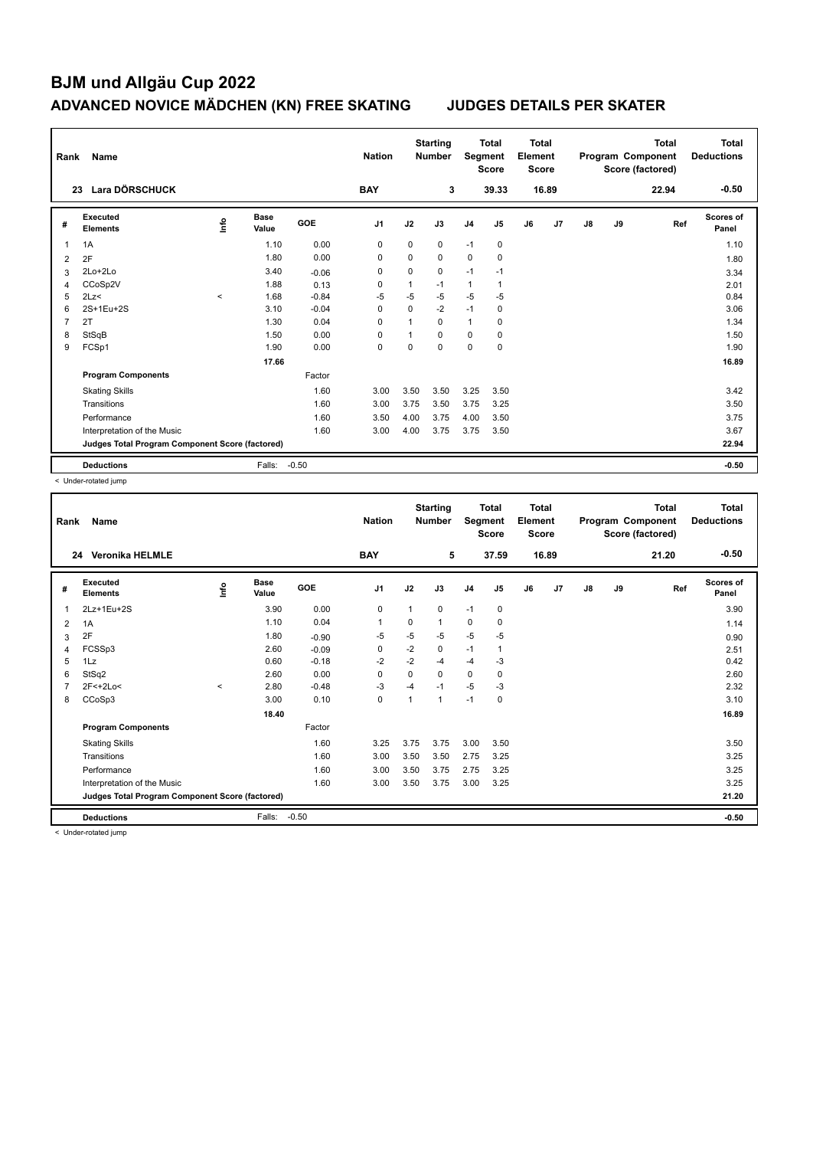| Rank           | Name                                            |         |                      |            | <b>Nation</b>  |              | <b>Starting</b><br><b>Number</b> | Segment        | <b>Total</b><br><b>Score</b> | Total<br>Element<br><b>Score</b> |       |    |    | <b>Total</b><br>Program Component<br>Score (factored) | Total<br><b>Deductions</b> |
|----------------|-------------------------------------------------|---------|----------------------|------------|----------------|--------------|----------------------------------|----------------|------------------------------|----------------------------------|-------|----|----|-------------------------------------------------------|----------------------------|
|                | <b>Lara DÖRSCHUCK</b><br>23                     |         |                      |            | <b>BAY</b>     |              | 3                                |                | 39.33                        |                                  | 16.89 |    |    | 22.94                                                 | $-0.50$                    |
| #              | <b>Executed</b><br><b>Elements</b>              | lnfo    | <b>Base</b><br>Value | <b>GOE</b> | J <sub>1</sub> | J2           | J3                               | J <sub>4</sub> | J <sub>5</sub>               | J6                               | J7    | J8 | J9 | Ref                                                   | Scores of<br>Panel         |
| 1              | 1A                                              |         | 1.10                 | 0.00       | 0              | $\Omega$     | 0                                | $-1$           | 0                            |                                  |       |    |    |                                                       | 1.10                       |
| $\overline{2}$ | 2F                                              |         | 1.80                 | 0.00       | 0              | $\Omega$     | $\mathbf 0$                      | 0              | $\mathbf 0$                  |                                  |       |    |    |                                                       | 1.80                       |
| 3              | 2Lo+2Lo                                         |         | 3.40                 | $-0.06$    | $\Omega$       | $\Omega$     | 0                                | $-1$           | $-1$                         |                                  |       |    |    |                                                       | 3.34                       |
| 4              | CCoSp2V                                         |         | 1.88                 | 0.13       | 0              | 1            | $-1$                             | 1              |                              |                                  |       |    |    |                                                       | 2.01                       |
| 5              | 2Lz<                                            | $\prec$ | 1.68                 | $-0.84$    | $-5$           | $-5$         | $-5$                             | $-5$           | $-5$                         |                                  |       |    |    |                                                       | 0.84                       |
| 6              | 2S+1Eu+2S                                       |         | 3.10                 | $-0.04$    | 0              | $\mathbf 0$  | $-2$                             | $-1$           | 0                            |                                  |       |    |    |                                                       | 3.06                       |
| 7              | 2T                                              |         | 1.30                 | 0.04       | $\Omega$       | $\mathbf{1}$ | $\Omega$                         | $\mathbf{1}$   | 0                            |                                  |       |    |    |                                                       | 1.34                       |
| 8              | StSqB                                           |         | 1.50                 | 0.00       | $\Omega$       |              | $\Omega$                         | $\Omega$       | $\mathbf 0$                  |                                  |       |    |    |                                                       | 1.50                       |
| 9              | FCSp1                                           |         | 1.90                 | 0.00       | 0              | $\Omega$     | $\Omega$                         | 0              | $\mathbf 0$                  |                                  |       |    |    |                                                       | 1.90                       |
|                |                                                 |         | 17.66                |            |                |              |                                  |                |                              |                                  |       |    |    |                                                       | 16.89                      |
|                | <b>Program Components</b>                       |         |                      | Factor     |                |              |                                  |                |                              |                                  |       |    |    |                                                       |                            |
|                | <b>Skating Skills</b>                           |         |                      | 1.60       | 3.00           | 3.50         | 3.50                             | 3.25           | 3.50                         |                                  |       |    |    |                                                       | 3.42                       |
|                | Transitions                                     |         |                      | 1.60       | 3.00           | 3.75         | 3.50                             | 3.75           | 3.25                         |                                  |       |    |    |                                                       | 3.50                       |
|                | Performance                                     |         |                      | 1.60       | 3.50           | 4.00         | 3.75                             | 4.00           | 3.50                         |                                  |       |    |    |                                                       | 3.75                       |
|                | Interpretation of the Music                     |         |                      | 1.60       | 3.00           | 4.00         | 3.75                             | 3.75           | 3.50                         |                                  |       |    |    |                                                       | 3.67                       |
|                | Judges Total Program Component Score (factored) |         |                      |            |                |              |                                  |                |                              |                                  |       |    |    |                                                       | 22.94                      |
|                | <b>Deductions</b>                               |         | Falls:               | $-0.50$    |                |              |                                  |                |                              |                                  |       |    |    |                                                       | $-0.50$                    |

< Under-rotated jump

| Rank           | Name                                            |         |                      |         | <b>Nation</b>  |             | <b>Starting</b><br><b>Number</b> | Segment        | <b>Total</b><br><b>Score</b> | Total<br>Element<br><b>Score</b> |       |    |    | <b>Total</b><br>Program Component<br>Score (factored) | <b>Total</b><br><b>Deductions</b> |
|----------------|-------------------------------------------------|---------|----------------------|---------|----------------|-------------|----------------------------------|----------------|------------------------------|----------------------------------|-------|----|----|-------------------------------------------------------|-----------------------------------|
|                | <b>Veronika HELMLE</b><br>24                    |         |                      |         | <b>BAY</b>     |             | 5                                |                | 37.59                        |                                  | 16.89 |    |    | 21.20                                                 | $-0.50$                           |
| #              | Executed<br><b>Elements</b>                     | lnfo    | <b>Base</b><br>Value | GOE     | J <sub>1</sub> | J2          | J3                               | J <sub>4</sub> | J <sub>5</sub>               | J6                               | J7    | J8 | J9 | Ref                                                   | <b>Scores of</b><br>Panel         |
| 1              | 2Lz+1Eu+2S                                      |         | 3.90                 | 0.00    | $\mathbf 0$    | 1           | 0                                | $-1$           | 0                            |                                  |       |    |    |                                                       | 3.90                              |
| 2              | 1A                                              |         | 1.10                 | 0.04    | $\mathbf{1}$   | 0           | 1                                | 0              | 0                            |                                  |       |    |    |                                                       | 1.14                              |
| 3              | 2F                                              |         | 1.80                 | $-0.90$ | $-5$           | $-5$        | $-5$                             | $-5$           | $-5$                         |                                  |       |    |    |                                                       | 0.90                              |
| 4              | FCSSp3                                          |         | 2.60                 | $-0.09$ | 0              | $-2$        | 0                                | $-1$           | 1                            |                                  |       |    |    |                                                       | 2.51                              |
| 5              | 1Lz                                             |         | 0.60                 | $-0.18$ | $-2$           | $-2$        | $-4$                             | $-4$           | $-3$                         |                                  |       |    |    |                                                       | 0.42                              |
| 6              | StSq2                                           |         | 2.60                 | 0.00    | $\mathbf 0$    | $\mathbf 0$ | 0                                | $\mathbf 0$    | 0                            |                                  |       |    |    |                                                       | 2.60                              |
| $\overline{7}$ | 2F<+2Lo<                                        | $\prec$ | 2.80                 | $-0.48$ | $-3$           | $-4$        | $-1$                             | $-5$           | $-3$                         |                                  |       |    |    |                                                       | 2.32                              |
| 8              | CCoSp3                                          |         | 3.00                 | 0.10    | 0              | 1           | 1                                | $-1$           | 0                            |                                  |       |    |    |                                                       | 3.10                              |
|                |                                                 |         | 18.40                |         |                |             |                                  |                |                              |                                  |       |    |    |                                                       | 16.89                             |
|                | <b>Program Components</b>                       |         |                      | Factor  |                |             |                                  |                |                              |                                  |       |    |    |                                                       |                                   |
|                | <b>Skating Skills</b>                           |         |                      | 1.60    | 3.25           | 3.75        | 3.75                             | 3.00           | 3.50                         |                                  |       |    |    |                                                       | 3.50                              |
|                | Transitions                                     |         |                      | 1.60    | 3.00           | 3.50        | 3.50                             | 2.75           | 3.25                         |                                  |       |    |    |                                                       | 3.25                              |
|                | Performance                                     |         |                      | 1.60    | 3.00           | 3.50        | 3.75                             | 2.75           | 3.25                         |                                  |       |    |    |                                                       | 3.25                              |
|                | Interpretation of the Music                     |         |                      | 1.60    | 3.00           | 3.50        | 3.75                             | 3.00           | 3.25                         |                                  |       |    |    |                                                       | 3.25                              |
|                | Judges Total Program Component Score (factored) |         |                      |         |                |             |                                  |                |                              |                                  |       |    |    |                                                       | 21.20                             |
|                | <b>Deductions</b>                               |         | Falls:               | $-0.50$ |                |             |                                  |                |                              |                                  |       |    |    |                                                       | $-0.50$                           |

< Under-rotated jump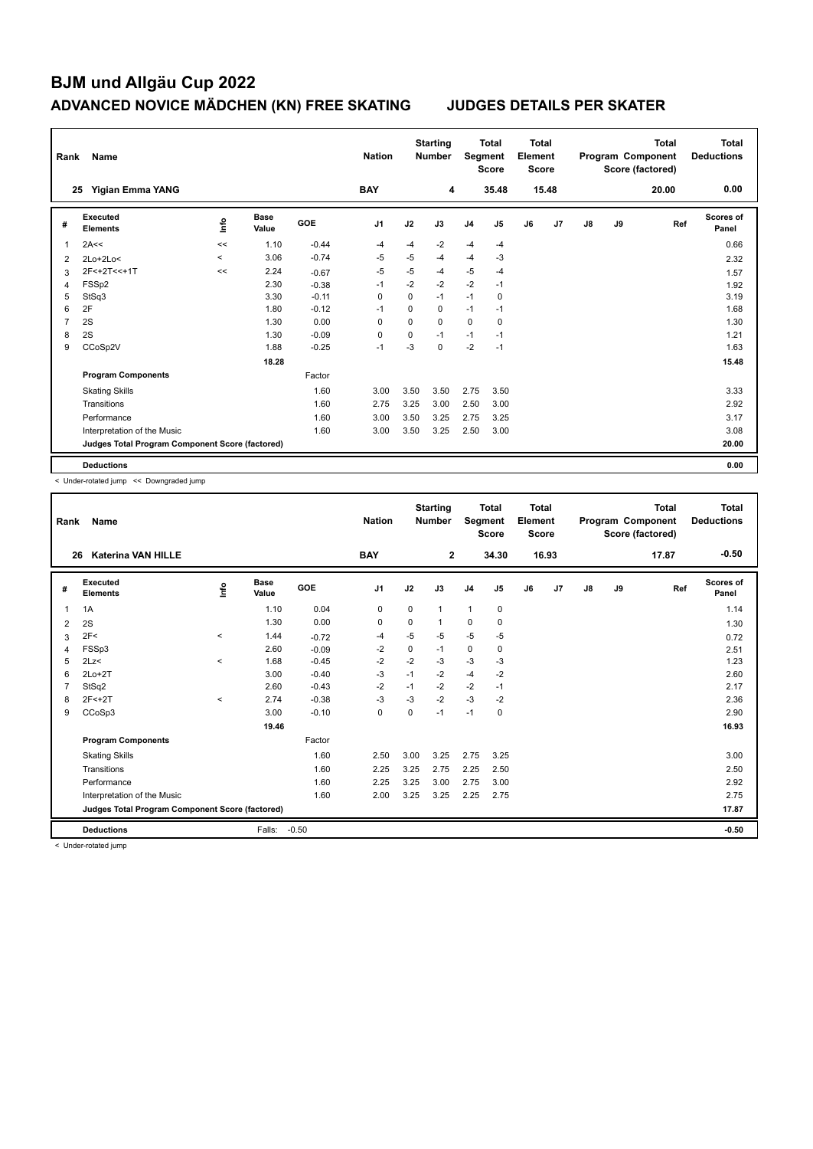| Rank           | Name                                            |                |                      |            | <b>Nation</b>  |          | <b>Starting</b><br><b>Number</b> | Segment        | <b>Total</b><br><b>Score</b> | <b>Total</b><br>Element<br><b>Score</b> |       |    |    | <b>Total</b><br>Program Component<br>Score (factored) | Total<br><b>Deductions</b> |
|----------------|-------------------------------------------------|----------------|----------------------|------------|----------------|----------|----------------------------------|----------------|------------------------------|-----------------------------------------|-------|----|----|-------------------------------------------------------|----------------------------|
|                | <b>Yigian Emma YANG</b><br>25                   |                |                      |            | <b>BAY</b>     |          | 4                                |                | 35.48                        |                                         | 15.48 |    |    | 20.00                                                 | 0.00                       |
| #              | Executed<br><b>Elements</b>                     | $\frac{6}{10}$ | <b>Base</b><br>Value | <b>GOE</b> | J <sub>1</sub> | J2       | J3                               | J <sub>4</sub> | J5                           | J6                                      | J7    | J8 | J9 | Ref                                                   | Scores of<br>Panel         |
| 1              | 2A<<                                            | <<             | 1.10                 | $-0.44$    | -4             | $-4$     | $-2$                             | $-4$           | $-4$                         |                                         |       |    |    |                                                       | 0.66                       |
| $\overline{2}$ | $2Lo+2Lo<$                                      | $\hat{}$       | 3.06                 | $-0.74$    | $-5$           | $-5$     | $-4$                             | $-4$           | $-3$                         |                                         |       |    |    |                                                       | 2.32                       |
| 3              | 2F<+2T<<+1T                                     | <<             | 2.24                 | $-0.67$    | $-5$           | $-5$     | $-4$                             | $-5$           | $-4$                         |                                         |       |    |    |                                                       | 1.57                       |
| 4              | FSS <sub>p2</sub>                               |                | 2.30                 | $-0.38$    | -1             | $-2$     | $-2$                             | $-2$           | $-1$                         |                                         |       |    |    |                                                       | 1.92                       |
| 5              | StSq3                                           |                | 3.30                 | $-0.11$    | $\mathbf 0$    | $\Omega$ | $-1$                             | $-1$           | 0                            |                                         |       |    |    |                                                       | 3.19                       |
| 6              | 2F                                              |                | 1.80                 | $-0.12$    | $-1$           | $\Omega$ | $\Omega$                         | $-1$           | $-1$                         |                                         |       |    |    |                                                       | 1.68                       |
| $\overline{7}$ | 2S                                              |                | 1.30                 | 0.00       | 0              | 0        | $\Omega$                         | $\mathbf 0$    | 0                            |                                         |       |    |    |                                                       | 1.30                       |
| 8              | 2S                                              |                | 1.30                 | $-0.09$    | 0              | $\Omega$ | $-1$                             | $-1$           | $-1$                         |                                         |       |    |    |                                                       | 1.21                       |
| 9              | CCoSp2V                                         |                | 1.88                 | $-0.25$    | $-1$           | $-3$     | 0                                | $-2$           | $-1$                         |                                         |       |    |    |                                                       | 1.63                       |
|                |                                                 |                | 18.28                |            |                |          |                                  |                |                              |                                         |       |    |    |                                                       | 15.48                      |
|                | <b>Program Components</b>                       |                |                      | Factor     |                |          |                                  |                |                              |                                         |       |    |    |                                                       |                            |
|                | <b>Skating Skills</b>                           |                |                      | 1.60       | 3.00           | 3.50     | 3.50                             | 2.75           | 3.50                         |                                         |       |    |    |                                                       | 3.33                       |
|                | Transitions                                     |                |                      | 1.60       | 2.75           | 3.25     | 3.00                             | 2.50           | 3.00                         |                                         |       |    |    |                                                       | 2.92                       |
|                | Performance                                     |                |                      | 1.60       | 3.00           | 3.50     | 3.25                             | 2.75           | 3.25                         |                                         |       |    |    |                                                       | 3.17                       |
|                | Interpretation of the Music                     |                |                      | 1.60       | 3.00           | 3.50     | 3.25                             | 2.50           | 3.00                         |                                         |       |    |    |                                                       | 3.08                       |
|                | Judges Total Program Component Score (factored) |                |                      |            |                |          |                                  |                |                              |                                         |       |    |    |                                                       | 20.00                      |
|                | <b>Deductions</b>                               |                |                      |            |                |          |                                  |                |                              |                                         |       |    |    |                                                       | 0.00                       |

< Under-rotated jump << Downgraded jump

| Rank         | Name                                            |          |                      |         | <b>Nation</b>  |             | <b>Starting</b><br><b>Number</b> | Segment        | <b>Total</b><br><b>Score</b> | <b>Total</b><br>Element<br><b>Score</b> |       |               |    | <b>Total</b><br>Program Component<br>Score (factored) | <b>Total</b><br><b>Deductions</b> |
|--------------|-------------------------------------------------|----------|----------------------|---------|----------------|-------------|----------------------------------|----------------|------------------------------|-----------------------------------------|-------|---------------|----|-------------------------------------------------------|-----------------------------------|
| 26           | <b>Katerina VAN HILLE</b>                       |          |                      |         | <b>BAY</b>     |             | $\mathbf{2}$                     |                | 34.30                        |                                         | 16.93 |               |    | 17.87                                                 | $-0.50$                           |
| #            | Executed<br><b>Elements</b>                     | lnfo     | <b>Base</b><br>Value | GOE     | J <sub>1</sub> | J2          | J3                               | J <sub>4</sub> | J5                           | J6                                      | J7    | $\mathsf{J}8$ | J9 | Ref                                                   | <b>Scores of</b><br>Panel         |
| $\mathbf{1}$ | 1A                                              |          | 1.10                 | 0.04    | $\mathbf 0$    | $\mathbf 0$ | $\mathbf{1}$                     | $\mathbf{1}$   | $\mathbf 0$                  |                                         |       |               |    |                                                       | 1.14                              |
| 2            | 2S                                              |          | 1.30                 | 0.00    | 0              | 0           | 1                                | 0              | 0                            |                                         |       |               |    |                                                       | 1.30                              |
| 3            | 2F<                                             | $\,<\,$  | 1.44                 | $-0.72$ | $-4$           | $-5$        | $-5$                             | $-5$           | $-5$                         |                                         |       |               |    |                                                       | 0.72                              |
| 4            | FSSp3                                           |          | 2.60                 | $-0.09$ | $-2$           | $\mathbf 0$ | $-1$                             | $\mathbf 0$    | $\mathbf 0$                  |                                         |       |               |    |                                                       | 2.51                              |
| 5            | 2Lz<                                            | $\hat{}$ | 1.68                 | $-0.45$ | $-2$           | $-2$        | $-3$                             | -3             | $-3$                         |                                         |       |               |    |                                                       | 1.23                              |
| 6            | $2Lo+2T$                                        |          | 3.00                 | $-0.40$ | $-3$           | $-1$        | $-2$                             | $-4$           | $-2$                         |                                         |       |               |    |                                                       | 2.60                              |
| 7            | StSq2                                           |          | 2.60                 | $-0.43$ | $-2$           | $-1$        | $-2$                             | $-2$           | $-1$                         |                                         |       |               |    |                                                       | 2.17                              |
| 8            | $2F < +2T$                                      | $\prec$  | 2.74                 | $-0.38$ | $-3$           | $-3$        | $-2$                             | $-3$           | $-2$                         |                                         |       |               |    |                                                       | 2.36                              |
| 9            | CCoSp3                                          |          | 3.00                 | $-0.10$ | 0              | $\Omega$    | $-1$                             | $-1$           | 0                            |                                         |       |               |    |                                                       | 2.90                              |
|              |                                                 |          | 19.46                |         |                |             |                                  |                |                              |                                         |       |               |    |                                                       | 16.93                             |
|              | <b>Program Components</b>                       |          |                      | Factor  |                |             |                                  |                |                              |                                         |       |               |    |                                                       |                                   |
|              | <b>Skating Skills</b>                           |          |                      | 1.60    | 2.50           | 3.00        | 3.25                             | 2.75           | 3.25                         |                                         |       |               |    |                                                       | 3.00                              |
|              | Transitions                                     |          |                      | 1.60    | 2.25           | 3.25        | 2.75                             | 2.25           | 2.50                         |                                         |       |               |    |                                                       | 2.50                              |
|              | Performance                                     |          |                      | 1.60    | 2.25           | 3.25        | 3.00                             | 2.75           | 3.00                         |                                         |       |               |    |                                                       | 2.92                              |
|              | Interpretation of the Music                     |          |                      | 1.60    | 2.00           | 3.25        | 3.25                             | 2.25           | 2.75                         |                                         |       |               |    |                                                       | 2.75                              |
|              | Judges Total Program Component Score (factored) |          |                      |         |                |             |                                  |                |                              |                                         |       |               |    |                                                       | 17.87                             |
|              | <b>Deductions</b>                               |          | Falls:               | $-0.50$ |                |             |                                  |                |                              |                                         |       |               |    |                                                       | $-0.50$                           |

< Under-rotated jump